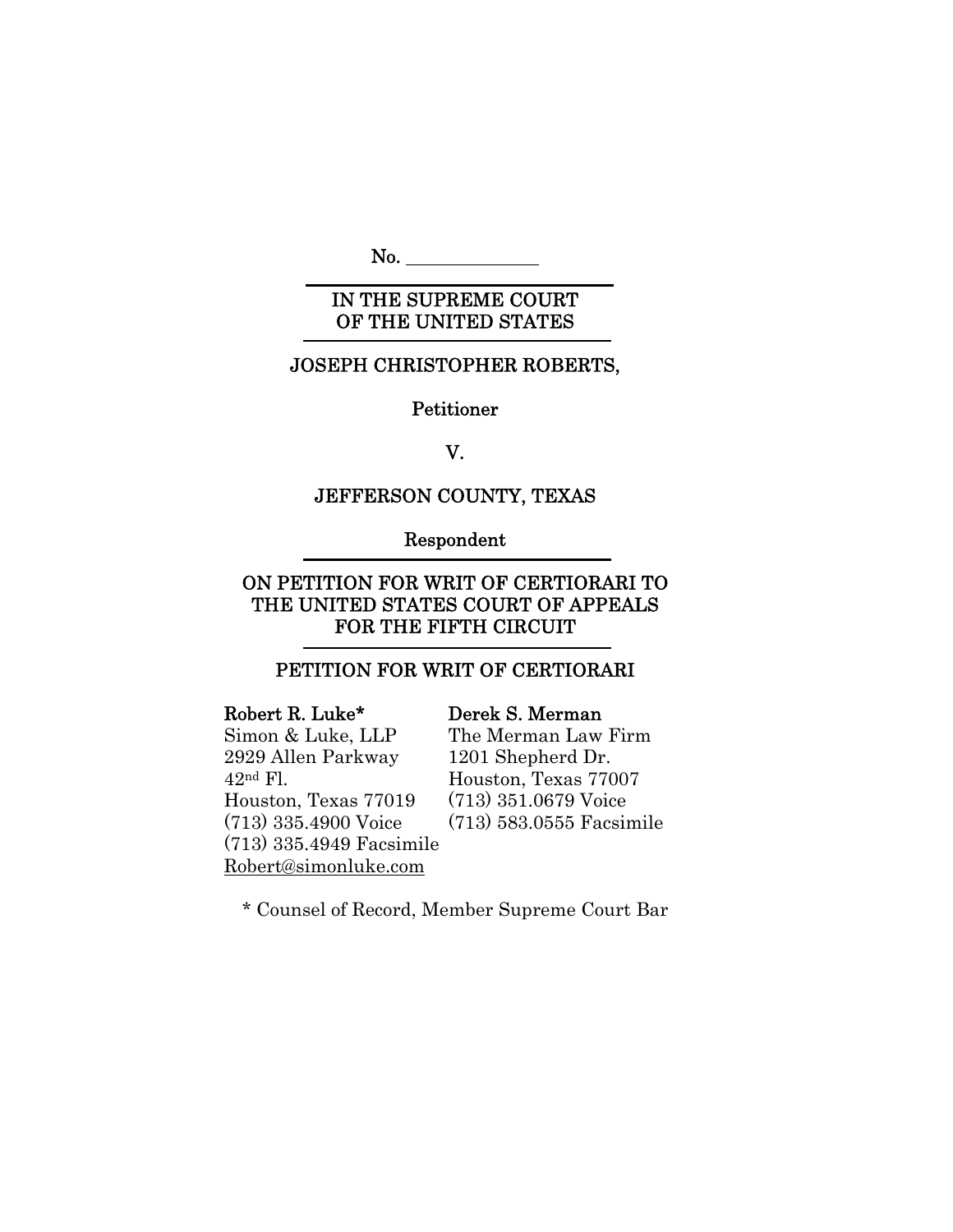No.

## IN THE SUPREME COURT OF THE UNITED STATES

 $\overline{a}$ 

#### j JOSEPH CHRISTOPHER ROBERTS,

Petitioner

V.

# JEFFERSON COUNTY, TEXAS

Respondent l

## ON PETITION FOR WRIT OF CERTIORARI TO THE UNITED STATES COURT OF APPEALS FOR THE FIFTH CIRCUIT

### l PETITION FOR WRIT OF CERTIORARI

# Robert R. Luke\* Derek S. Merman

Simon & Luke, LLP The Merman Law Firm 2929 Allen Parkway 1201 Shepherd Dr. 42nd Fl. Houston, Texas 77007 Houston, Texas 77019 (713) 351.0679 Voice (713) 335.4949 Facsimile Robert@simonluke.com

(713) 335.4900 Voice (713) 583.0555 Facsimile

\* Counsel of Record, Member Supreme Court Bar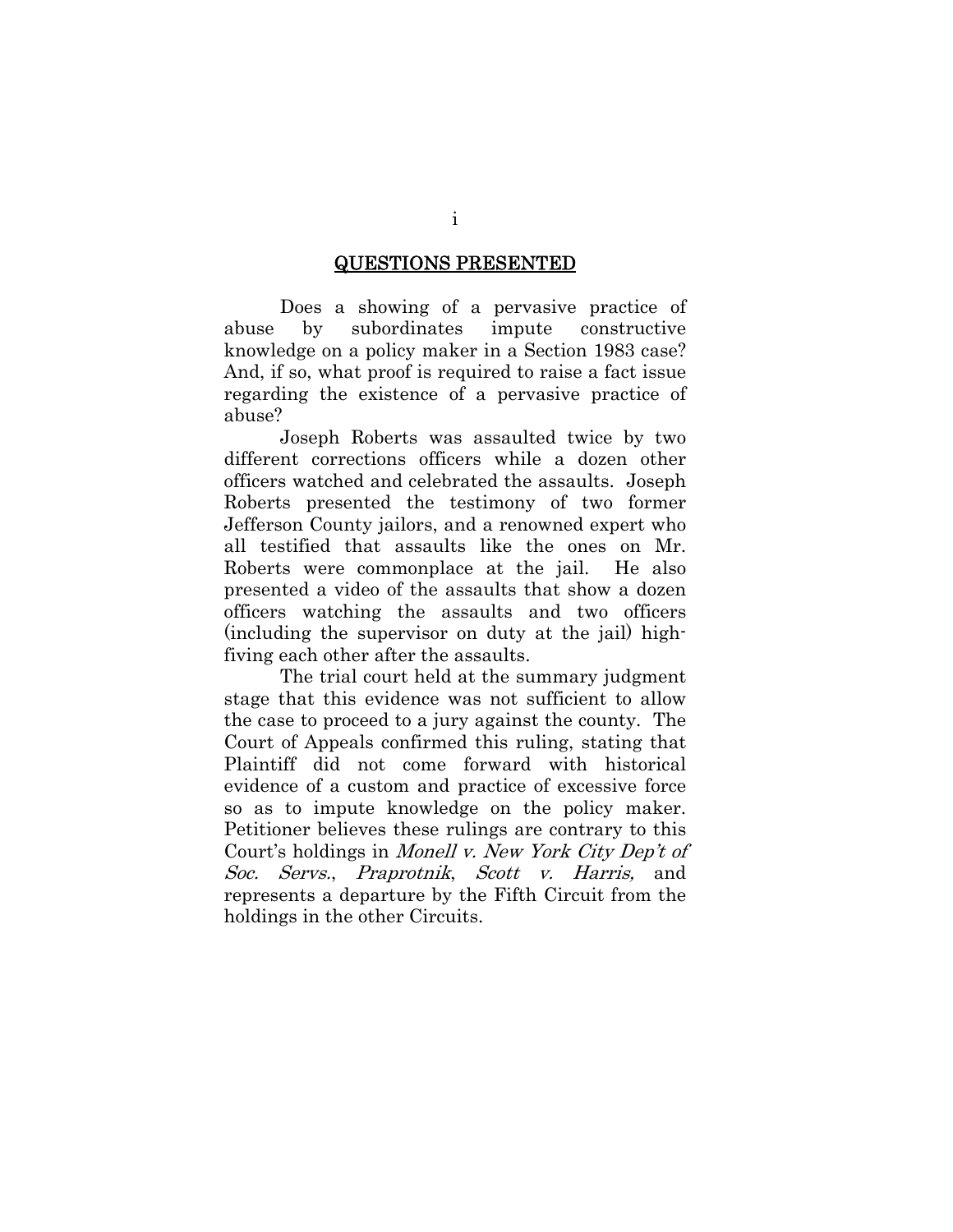#### QUESTIONS PRESENTED

Does a showing of a pervasive practice of abuse by subordinates impute constructive knowledge on a policy maker in a Section 1983 case? And, if so, what proof is required to raise a fact issue regarding the existence of a pervasive practice of abuse?

Joseph Roberts was assaulted twice by two different corrections officers while a dozen other officers watched and celebrated the assaults. Joseph Roberts presented the testimony of two former Jefferson County jailors, and a renowned expert who all testified that assaults like the ones on Mr. Roberts were commonplace at the jail. He also presented a video of the assaults that show a dozen officers watching the assaults and two officers (including the supervisor on duty at the jail) highfiving each other after the assaults.

The trial court held at the summary judgment stage that this evidence was not sufficient to allow the case to proceed to a jury against the county. The Court of Appeals confirmed this ruling, stating that Plaintiff did not come forward with historical evidence of a custom and practice of excessive force so as to impute knowledge on the policy maker. Petitioner believes these rulings are contrary to this Court's holdings in Monell v. New York City Dep't of Soc. Servs., Praprotnik, Scott v. Harris, and represents a departure by the Fifth Circuit from the holdings in the other Circuits.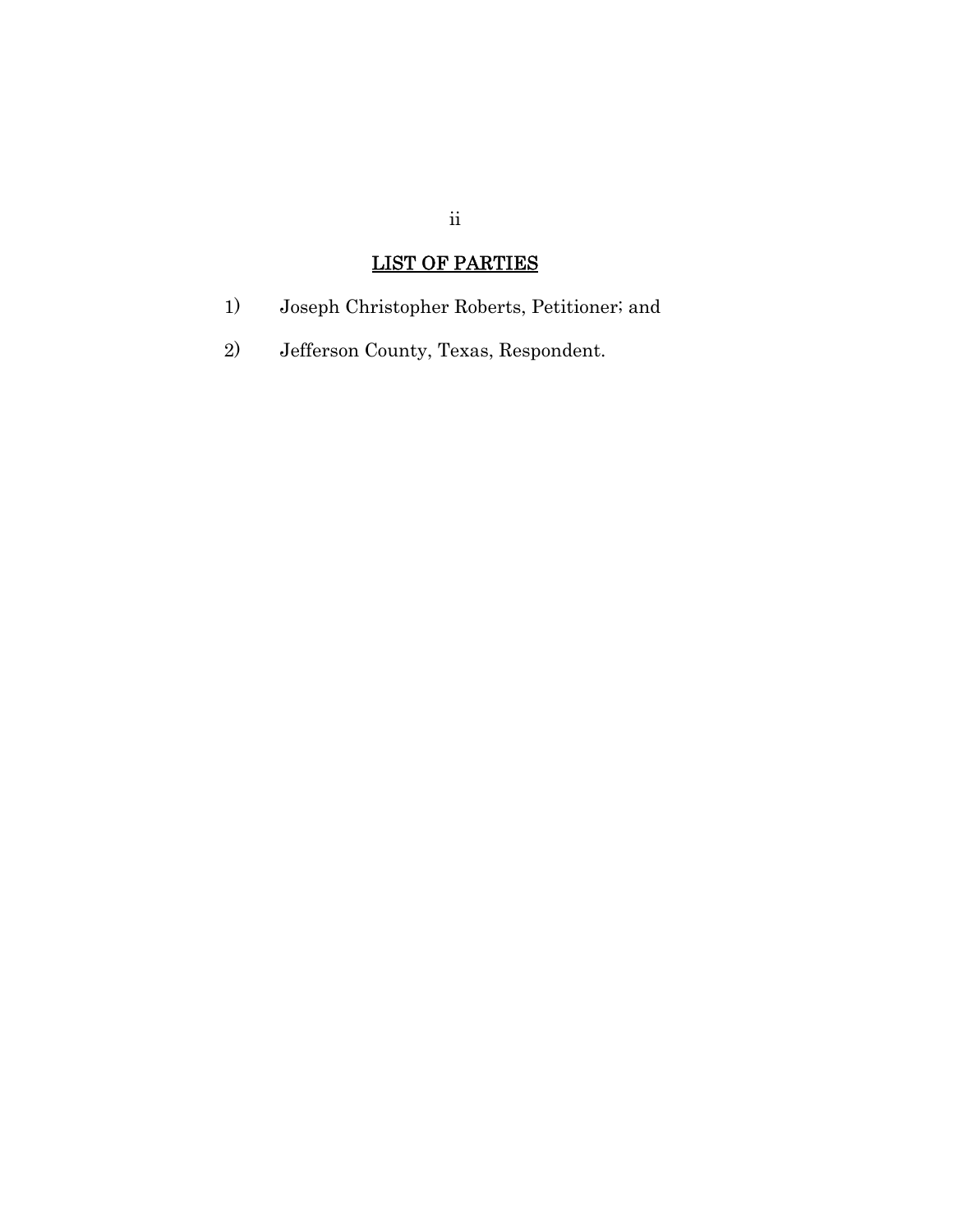# LIST OF PARTIES

- 1) Joseph Christopher Roberts, Petitioner; and
- 2) Jefferson County, Texas, Respondent.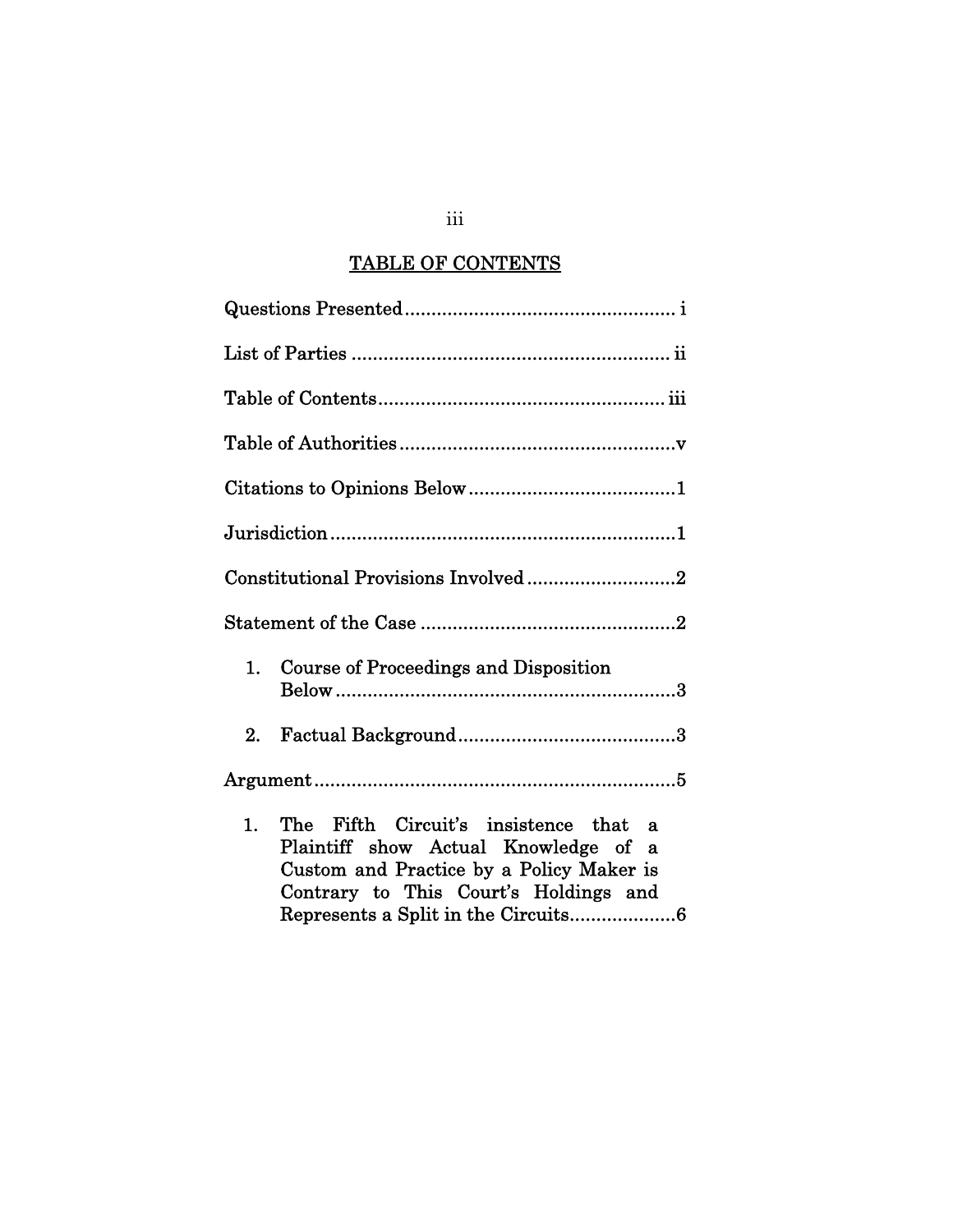# TABLE OF CONTENTS

| Constitutional Provisions Involved2                                                                                                                                                                             |  |  |
|-----------------------------------------------------------------------------------------------------------------------------------------------------------------------------------------------------------------|--|--|
|                                                                                                                                                                                                                 |  |  |
| Course of Proceedings and Disposition<br>1.                                                                                                                                                                     |  |  |
| 2.                                                                                                                                                                                                              |  |  |
|                                                                                                                                                                                                                 |  |  |
| The Fifth Circuit's insistence that a<br>1.<br>Plaintiff show Actual Knowledge of a<br>Custom and Practice by a Policy Maker is<br>Contrary to This Court's Holdings and<br>Represents a Split in the Circuits6 |  |  |

iii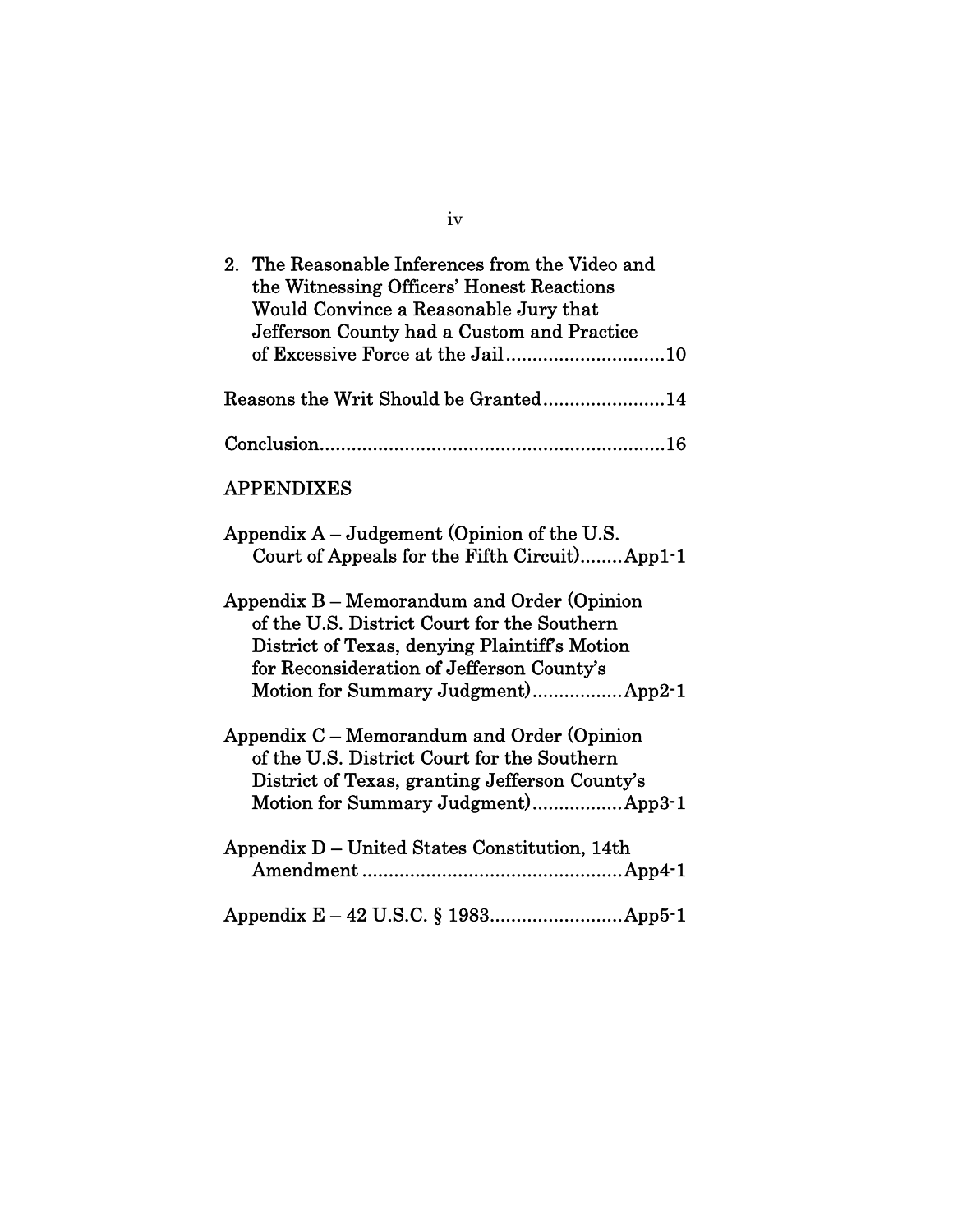|                   | 2. The Reasonable Inferences from the Video and<br>the Witnessing Officers' Honest Reactions<br>Would Convince a Reasonable Jury that<br>Jefferson County had a Custom and Practice                                           |  |
|-------------------|-------------------------------------------------------------------------------------------------------------------------------------------------------------------------------------------------------------------------------|--|
|                   | Reasons the Writ Should be Granted14                                                                                                                                                                                          |  |
|                   |                                                                                                                                                                                                                               |  |
| <b>APPENDIXES</b> |                                                                                                                                                                                                                               |  |
|                   | Appendix $A$ – Judgement (Opinion of the U.S.<br>Court of Appeals for the Fifth Circuit)App1-1                                                                                                                                |  |
|                   | Appendix B – Memorandum and Order (Opinion<br>of the U.S. District Court for the Southern<br>District of Texas, denying Plaintiff's Motion<br>for Reconsideration of Jefferson County's<br>Motion for Summary Judgment)App2-1 |  |
|                   | Appendix C – Memorandum and Order (Opinion<br>of the U.S. District Court for the Southern<br>District of Texas, granting Jefferson County's<br>Motion for Summary Judgment)App3-1                                             |  |
|                   | Appendix D – United States Constitution, 14th                                                                                                                                                                                 |  |
|                   |                                                                                                                                                                                                                               |  |

iv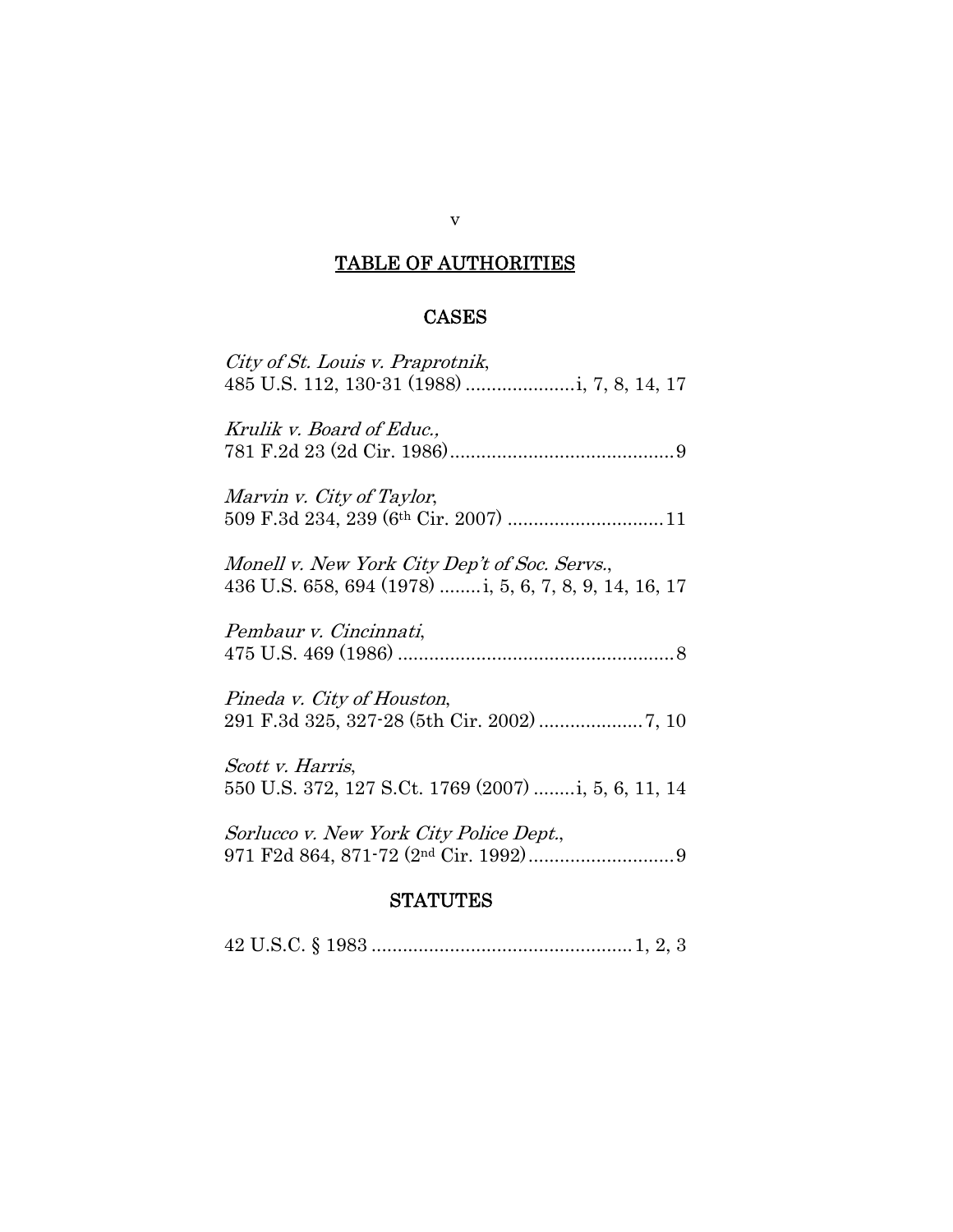# TABLE OF AUTHORITIES

# CASES

| City of St. Louis v. Praprotnik,                                       |
|------------------------------------------------------------------------|
| Krulik v. Board of Educ.,                                              |
| Marvin v. City of Taylor,                                              |
| Monell v. New York City Dep't of Soc. Servs.,                          |
| Pembaur v. Cincinnati,                                                 |
| Pineda v. City of Houston,                                             |
| Scott v. Harris,<br>550 U.S. 372, 127 S.Ct. 1769 (2007) ; 5, 6, 11, 14 |
| Sorlucco v. New York City Police Dept.,                                |

# **STATUTES**

42 U.S.C. § 1983 .................................................. 1, 2, 3

v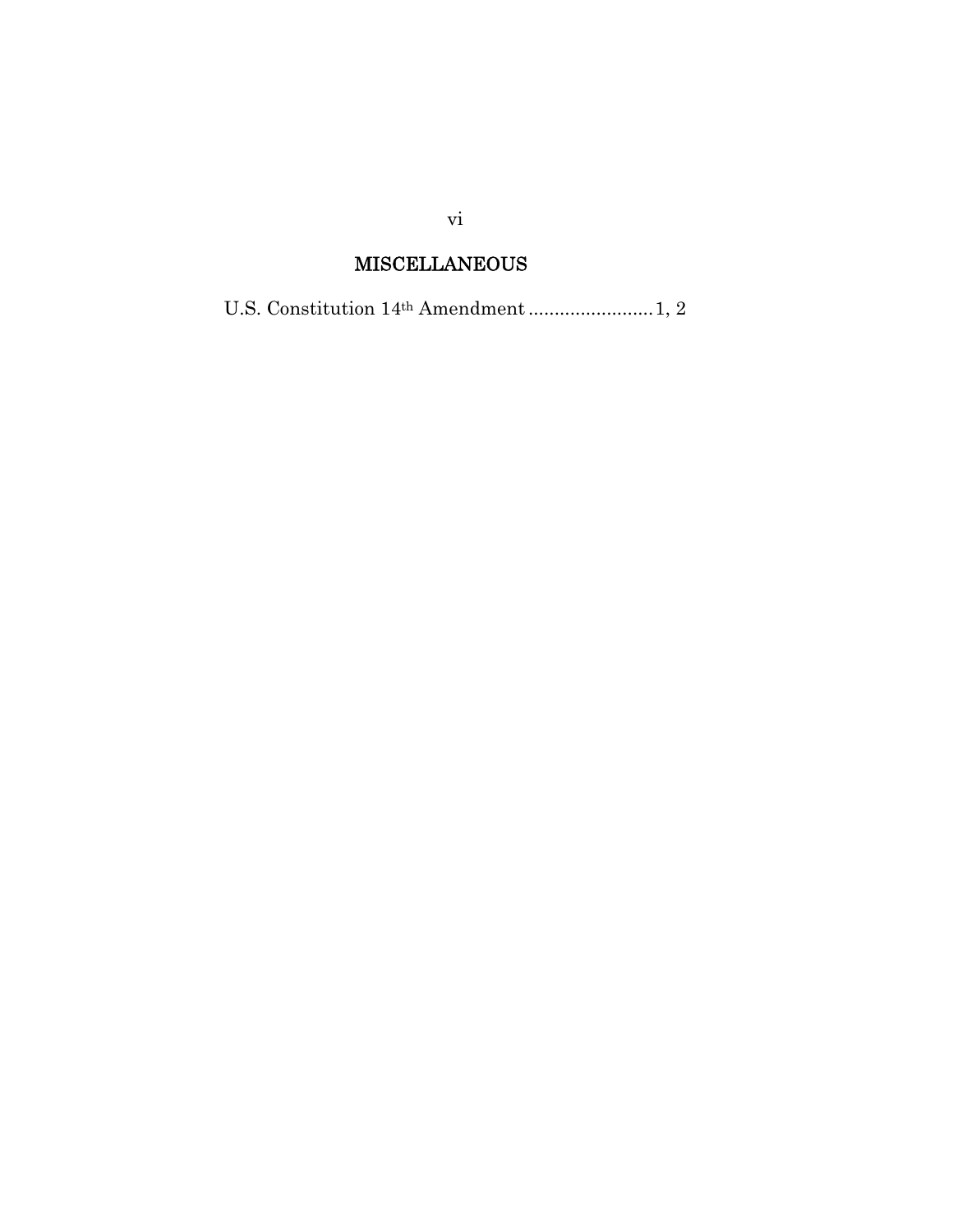# MISCELLANEOUS

U.S. Constitution 14th Amendment ........................ 1, 2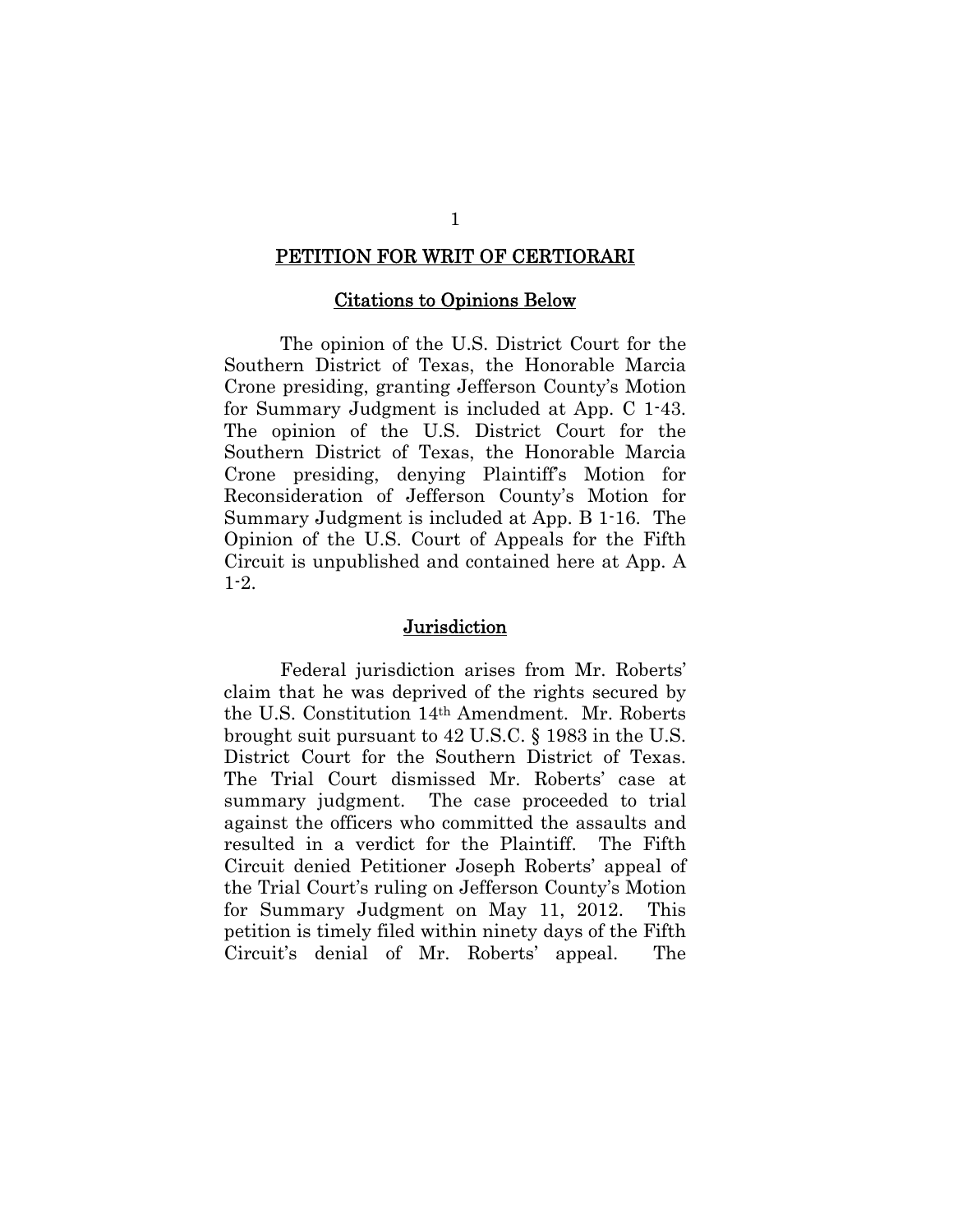#### PETITION FOR WRIT OF CERTIORARI

#### Citations to Opinions Below

 The opinion of the U.S. District Court for the Southern District of Texas, the Honorable Marcia Crone presiding, granting Jefferson County's Motion for Summary Judgment is included at App. C 1-43. The opinion of the U.S. District Court for the Southern District of Texas, the Honorable Marcia Crone presiding, denying Plaintiff's Motion for Reconsideration of Jefferson County's Motion for Summary Judgment is included at App. B 1-16. The Opinion of the U.S. Court of Appeals for the Fifth Circuit is unpublished and contained here at App. A 1-2.

#### Jurisdiction

 Federal jurisdiction arises from Mr. Roberts' claim that he was deprived of the rights secured by the U.S. Constitution 14th Amendment. Mr. Roberts brought suit pursuant to 42 U.S.C. § 1983 in the U.S. District Court for the Southern District of Texas. The Trial Court dismissed Mr. Roberts' case at summary judgment. The case proceeded to trial against the officers who committed the assaults and resulted in a verdict for the Plaintiff. The Fifth Circuit denied Petitioner Joseph Roberts' appeal of the Trial Court's ruling on Jefferson County's Motion for Summary Judgment on May 11, 2012. This petition is timely filed within ninety days of the Fifth Circuit's denial of Mr. Roberts' appeal. The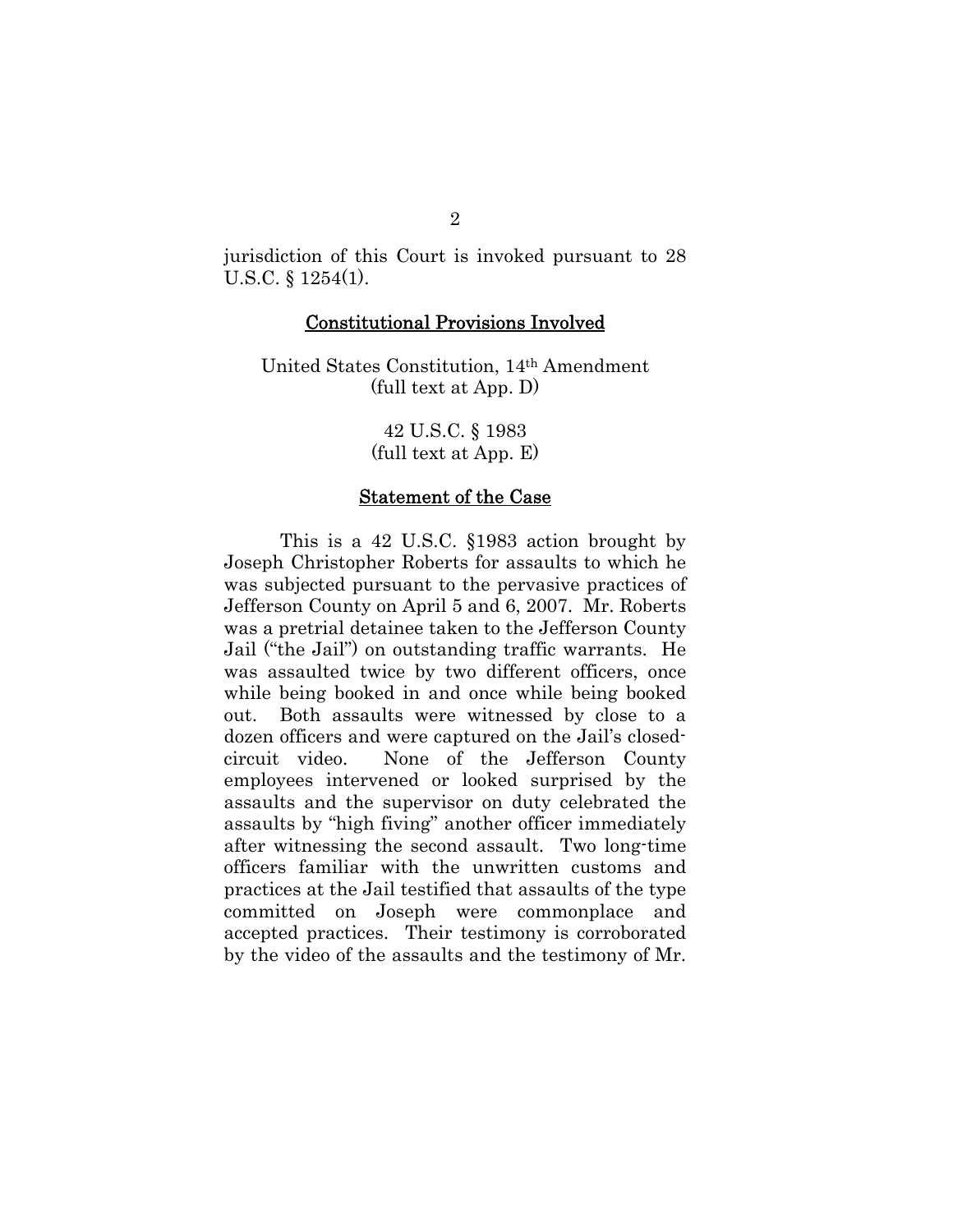jurisdiction of this Court is invoked pursuant to 28 U.S.C. § 1254(1).

#### Constitutional Provisions Involved

United States Constitution, 14th Amendment (full text at App. D)

> 42 U.S.C. § 1983 (full text at App. E)

#### Statement of the Case

This is a 42 U.S.C. §1983 action brought by Joseph Christopher Roberts for assaults to which he was subjected pursuant to the pervasive practices of Jefferson County on April 5 and 6, 2007. Mr. Roberts was a pretrial detainee taken to the Jefferson County Jail ("the Jail") on outstanding traffic warrants. He was assaulted twice by two different officers, once while being booked in and once while being booked out. Both assaults were witnessed by close to a dozen officers and were captured on the Jail's closedcircuit video. None of the Jefferson County employees intervened or looked surprised by the assaults and the supervisor on duty celebrated the assaults by "high fiving" another officer immediately after witnessing the second assault. Two long-time officers familiar with the unwritten customs and practices at the Jail testified that assaults of the type committed on Joseph were commonplace and accepted practices. Their testimony is corroborated by the video of the assaults and the testimony of Mr.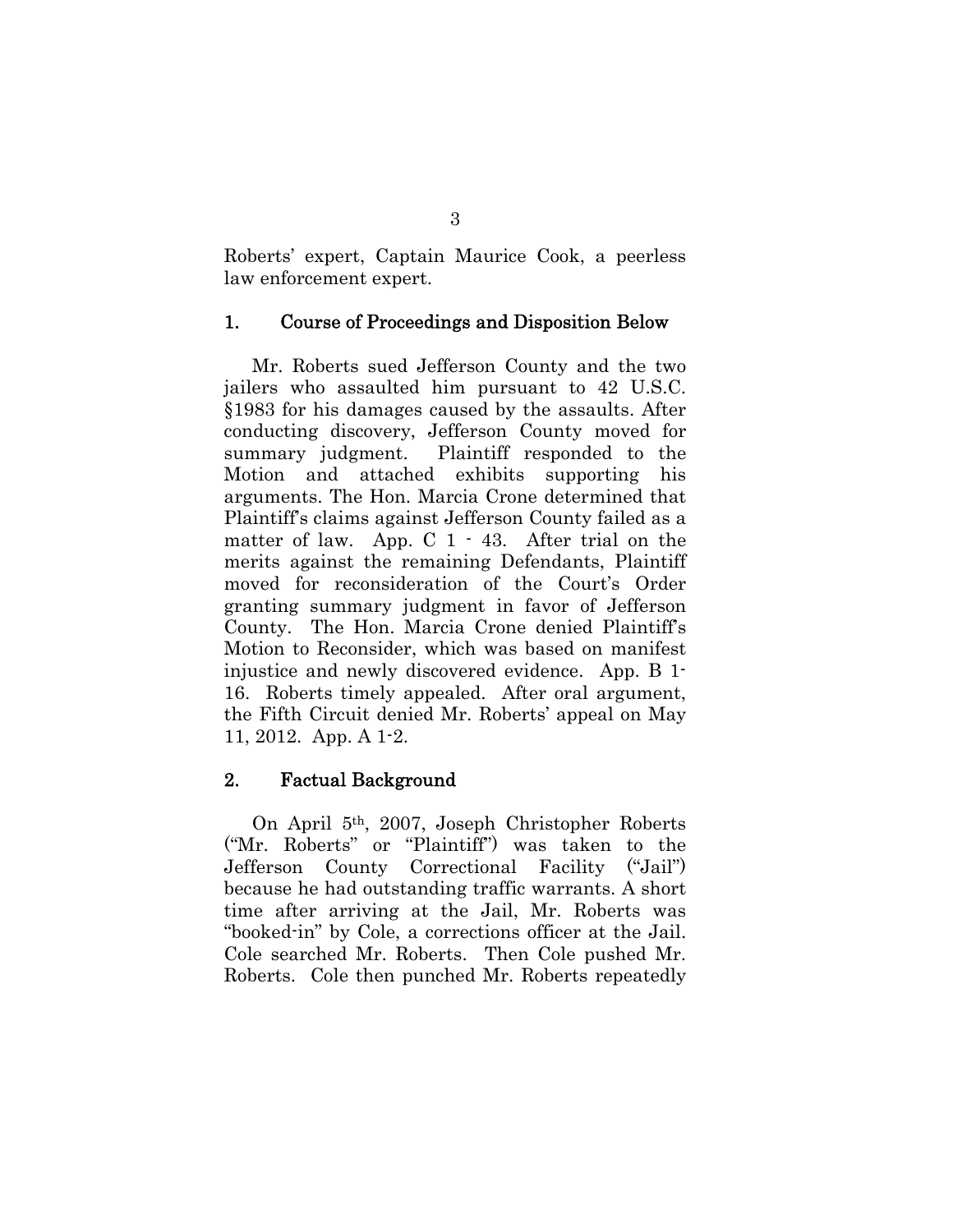Roberts' expert, Captain Maurice Cook, a peerless law enforcement expert.

#### 1. Course of Proceedings and Disposition Below

Mr. Roberts sued Jefferson County and the two jailers who assaulted him pursuant to 42 U.S.C. §1983 for his damages caused by the assaults. After conducting discovery, Jefferson County moved for summary judgment. Plaintiff responded to the Motion and attached exhibits supporting his arguments. The Hon. Marcia Crone determined that Plaintiff's claims against Jefferson County failed as a matter of law. App.  $C \ 1 - 43$ . After trial on the merits against the remaining Defendants, Plaintiff moved for reconsideration of the Court's Order granting summary judgment in favor of Jefferson County. The Hon. Marcia Crone denied Plaintiff's Motion to Reconsider, which was based on manifest injustice and newly discovered evidence. App. B 1- 16. Roberts timely appealed. After oral argument, the Fifth Circuit denied Mr. Roberts' appeal on May 11, 2012. App. A 1-2.

## 2. Factual Background

On April 5th, 2007, Joseph Christopher Roberts ("Mr. Roberts" or "Plaintiff") was taken to the Jefferson County Correctional Facility ("Jail") because he had outstanding traffic warrants. A short time after arriving at the Jail, Mr. Roberts was "booked-in" by Cole, a corrections officer at the Jail. Cole searched Mr. Roberts. Then Cole pushed Mr. Roberts. Cole then punched Mr. Roberts repeatedly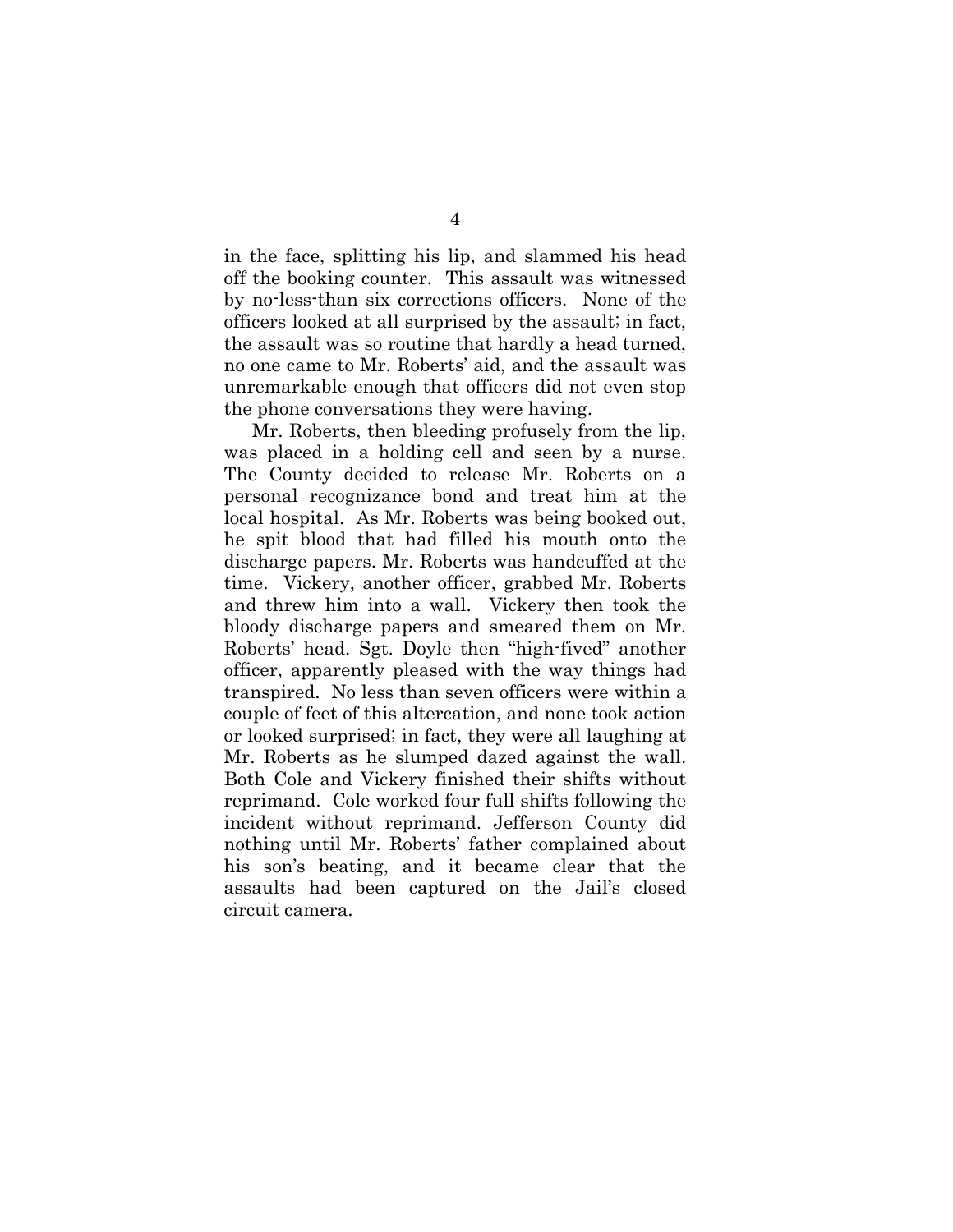in the face, splitting his lip, and slammed his head off the booking counter. This assault was witnessed by no-less-than six corrections officers. None of the officers looked at all surprised by the assault; in fact, the assault was so routine that hardly a head turned, no one came to Mr. Roberts' aid, and the assault was unremarkable enough that officers did not even stop the phone conversations they were having.

Mr. Roberts, then bleeding profusely from the lip, was placed in a holding cell and seen by a nurse. The County decided to release Mr. Roberts on a personal recognizance bond and treat him at the local hospital. As Mr. Roberts was being booked out, he spit blood that had filled his mouth onto the discharge papers. Mr. Roberts was handcuffed at the time. Vickery, another officer, grabbed Mr. Roberts and threw him into a wall. Vickery then took the bloody discharge papers and smeared them on Mr. Roberts' head. Sgt. Doyle then "high-fived" another officer, apparently pleased with the way things had transpired. No less than seven officers were within a couple of feet of this altercation, and none took action or looked surprised; in fact, they were all laughing at Mr. Roberts as he slumped dazed against the wall. Both Cole and Vickery finished their shifts without reprimand. Cole worked four full shifts following the incident without reprimand. Jefferson County did nothing until Mr. Roberts' father complained about his son's beating, and it became clear that the assaults had been captured on the Jail's closed circuit camera.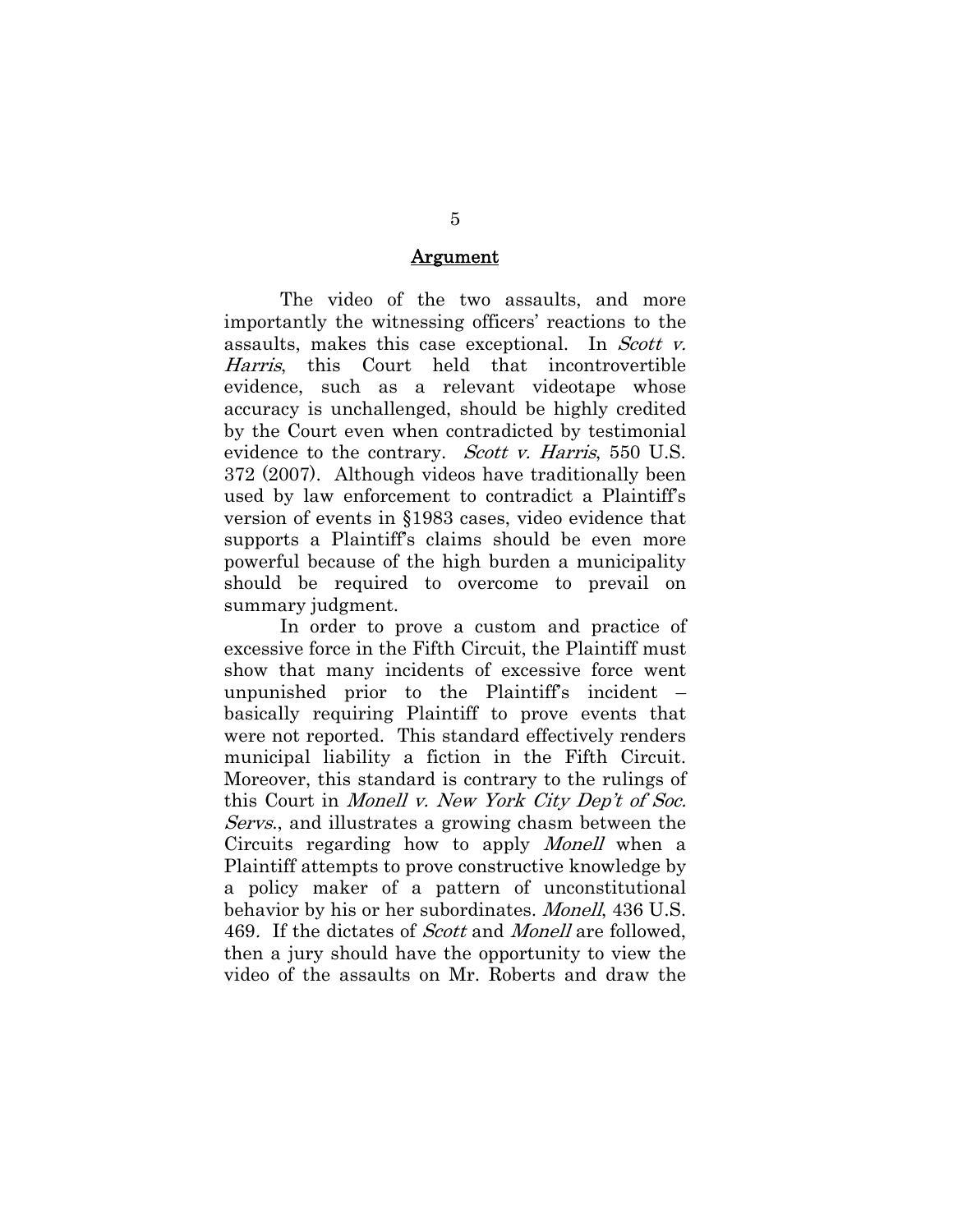#### **Argument**

The video of the two assaults, and more importantly the witnessing officers' reactions to the assaults, makes this case exceptional. In Scott v. Harris, this Court held that incontrovertible evidence, such as a relevant videotape whose accuracy is unchallenged, should be highly credited by the Court even when contradicted by testimonial evidence to the contrary. Scott v. Harris, 550 U.S. 372 (2007). Although videos have traditionally been used by law enforcement to contradict a Plaintiff's version of events in §1983 cases, video evidence that supports a Plaintiff's claims should be even more powerful because of the high burden a municipality should be required to overcome to prevail on summary judgment.

In order to prove a custom and practice of excessive force in the Fifth Circuit, the Plaintiff must show that many incidents of excessive force went unpunished prior to the Plaintiff's incident – basically requiring Plaintiff to prove events that were not reported. This standard effectively renders municipal liability a fiction in the Fifth Circuit. Moreover, this standard is contrary to the rulings of this Court in Monell v. New York City Dep't of Soc. Servs., and illustrates a growing chasm between the Circuits regarding how to apply Monell when a Plaintiff attempts to prove constructive knowledge by a policy maker of a pattern of unconstitutional behavior by his or her subordinates. Monell, 436 U.S. 469. If the dictates of *Scott* and *Monell* are followed, then a jury should have the opportunity to view the video of the assaults on Mr. Roberts and draw the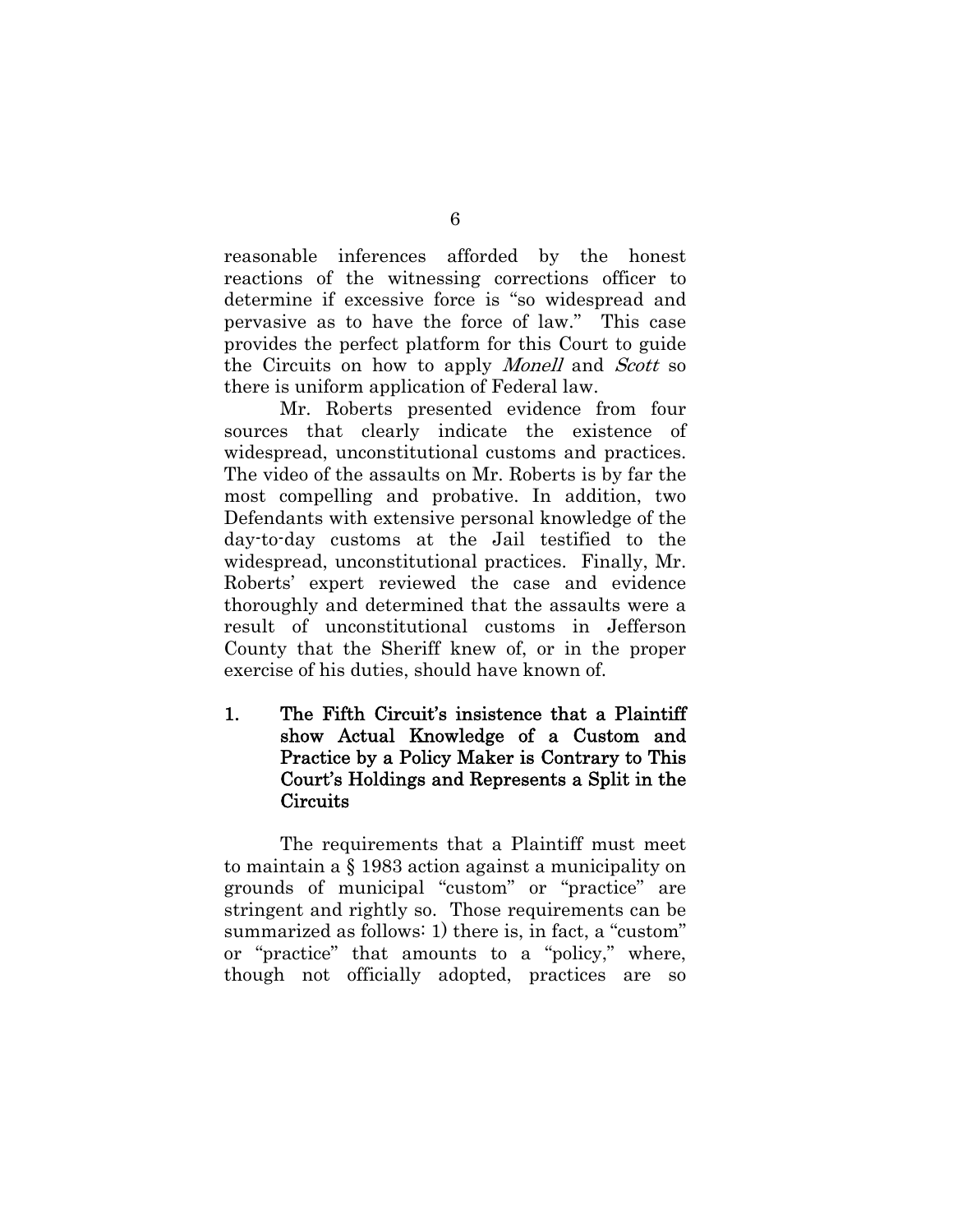reasonable inferences afforded by the honest reactions of the witnessing corrections officer to determine if excessive force is "so widespread and pervasive as to have the force of law." This case provides the perfect platform for this Court to guide the Circuits on how to apply *Monell* and *Scott* so there is uniform application of Federal law.

Mr. Roberts presented evidence from four sources that clearly indicate the existence of widespread, unconstitutional customs and practices. The video of the assaults on Mr. Roberts is by far the most compelling and probative. In addition, two Defendants with extensive personal knowledge of the day-to-day customs at the Jail testified to the widespread, unconstitutional practices. Finally, Mr. Roberts' expert reviewed the case and evidence thoroughly and determined that the assaults were a result of unconstitutional customs in Jefferson County that the Sheriff knew of, or in the proper exercise of his duties, should have known of.

1. The Fifth Circuit's insistence that a Plaintiff show Actual Knowledge of a Custom and Practice by a Policy Maker is Contrary to This Court's Holdings and Represents a Split in the Circuits

The requirements that a Plaintiff must meet to maintain a § 1983 action against a municipality on grounds of municipal "custom" or "practice" are stringent and rightly so. Those requirements can be summarized as follows: 1) there is, in fact, a "custom" or "practice" that amounts to a "policy," where, though not officially adopted, practices are so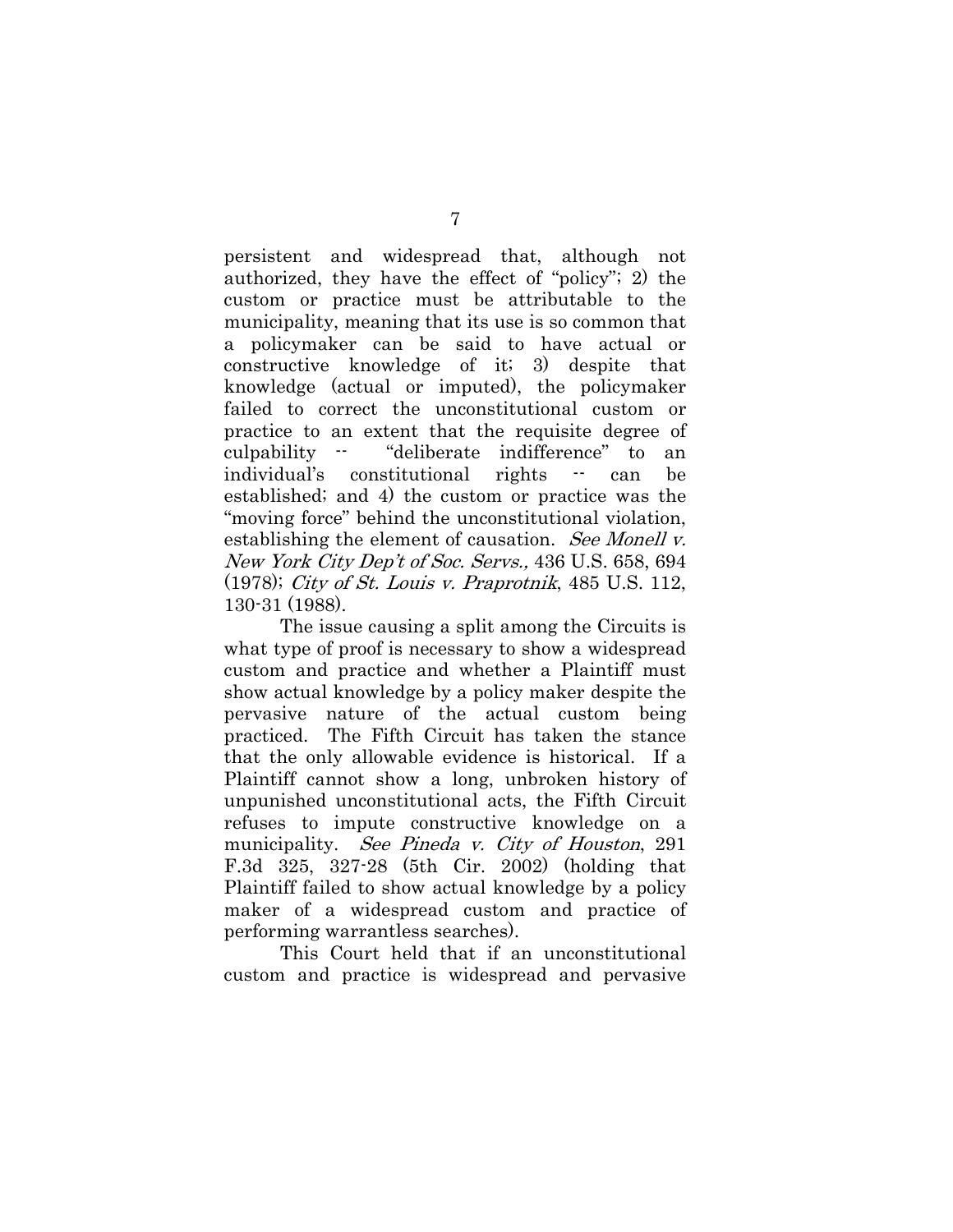persistent and widespread that, although not authorized, they have the effect of "policy"; 2) the custom or practice must be attributable to the municipality, meaning that its use is so common that a policymaker can be said to have actual or constructive knowledge of it; 3) despite that knowledge (actual or imputed), the policymaker failed to correct the unconstitutional custom or practice to an extent that the requisite degree of culpability -- "deliberate indifference" to an individual's constitutional rights -- can be established; and 4) the custom or practice was the "moving force" behind the unconstitutional violation, establishing the element of causation. See Monell v. New York City Dep't of Soc. Servs., 436 U.S. 658, 694 (1978); City of St. Louis v. Praprotnik, 485 U.S. 112, 130-31 (1988).

The issue causing a split among the Circuits is what type of proof is necessary to show a widespread custom and practice and whether a Plaintiff must show actual knowledge by a policy maker despite the pervasive nature of the actual custom being practiced. The Fifth Circuit has taken the stance that the only allowable evidence is historical. If a Plaintiff cannot show a long, unbroken history of unpunished unconstitutional acts, the Fifth Circuit refuses to impute constructive knowledge on a municipality. See Pineda v. City of Houston, 291 F.3d 325, 327-28 (5th Cir. 2002) (holding that Plaintiff failed to show actual knowledge by a policy maker of a widespread custom and practice of performing warrantless searches).

This Court held that if an unconstitutional custom and practice is widespread and pervasive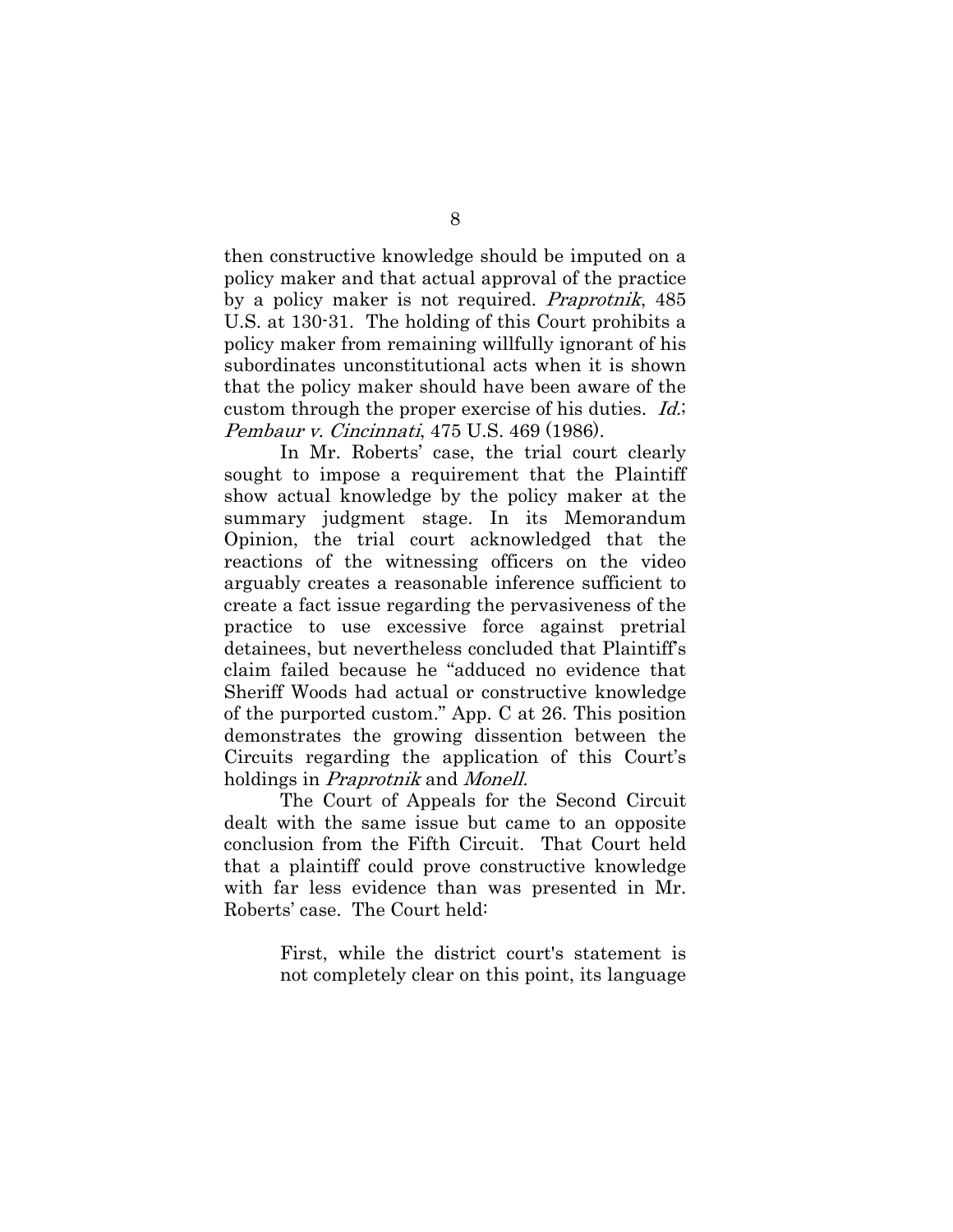then constructive knowledge should be imputed on a policy maker and that actual approval of the practice by a policy maker is not required. *Praprotnik*, 485 U.S. at 130-31. The holding of this Court prohibits a policy maker from remaining willfully ignorant of his subordinates unconstitutional acts when it is shown that the policy maker should have been aware of the custom through the proper exercise of his duties. *Id.*; Pembaur v. Cincinnati, 475 U.S. 469 (1986).

In Mr. Roberts' case, the trial court clearly sought to impose a requirement that the Plaintiff show actual knowledge by the policy maker at the summary judgment stage. In its Memorandum Opinion, the trial court acknowledged that the reactions of the witnessing officers on the video arguably creates a reasonable inference sufficient to create a fact issue regarding the pervasiveness of the practice to use excessive force against pretrial detainees, but nevertheless concluded that Plaintiff's claim failed because he "adduced no evidence that Sheriff Woods had actual or constructive knowledge of the purported custom." App. C at 26. This position demonstrates the growing dissention between the Circuits regarding the application of this Court's holdings in *Praprotnik* and *Monell*.

The Court of Appeals for the Second Circuit dealt with the same issue but came to an opposite conclusion from the Fifth Circuit. That Court held that a plaintiff could prove constructive knowledge with far less evidence than was presented in Mr. Roberts' case. The Court held:

> First, while the district court's statement is not completely clear on this point, its language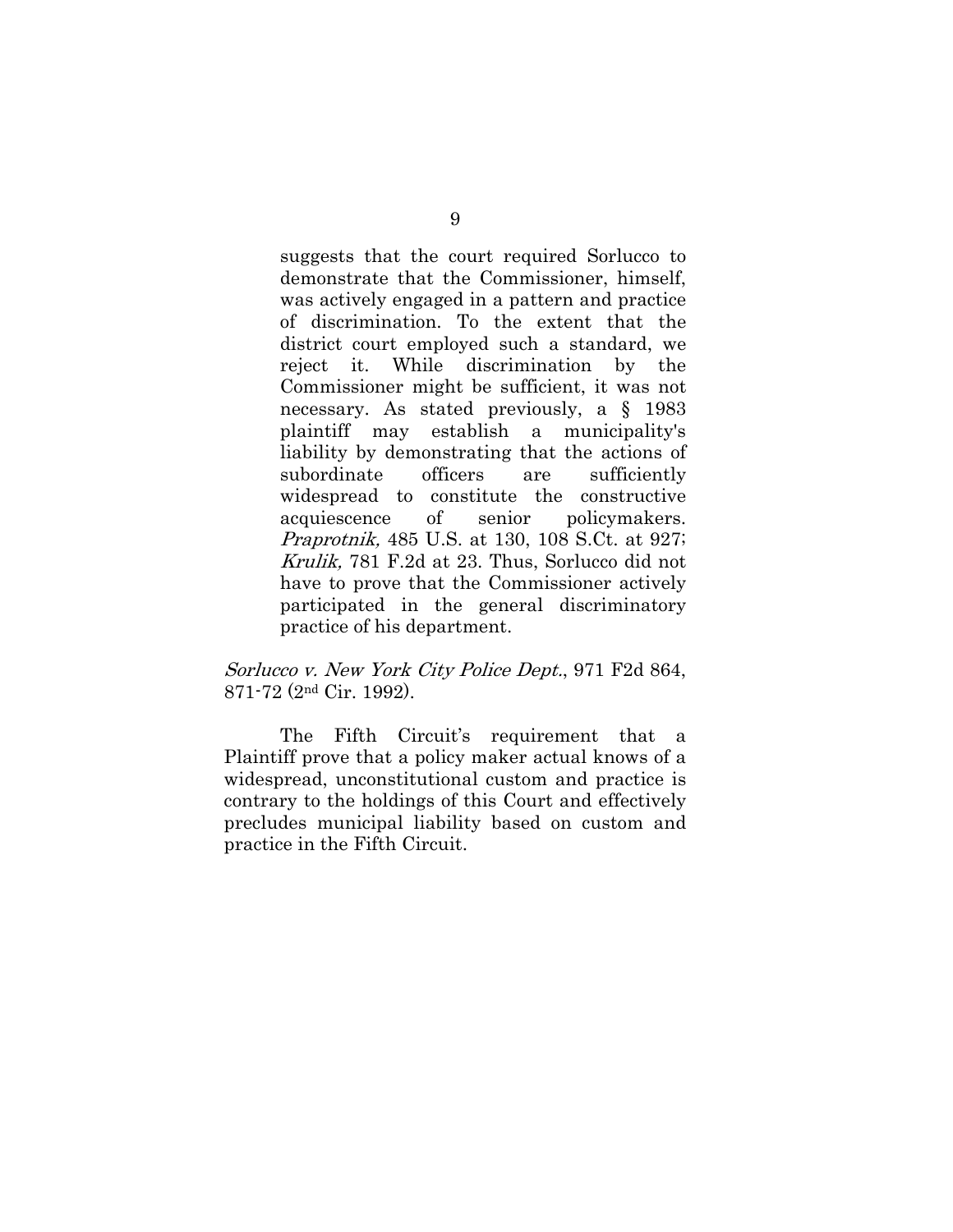suggests that the court required Sorlucco to demonstrate that the Commissioner, himself, was actively engaged in a pattern and practice of discrimination. To the extent that the district court employed such a standard, we reject it. While discrimination by the Commissioner might be sufficient, it was not necessary. As stated previously, a § 1983 plaintiff may establish a municipality's liability by demonstrating that the actions of subordinate officers are sufficiently widespread to constitute the constructive acquiescence of senior policymakers. Praprotnik, 485 U.S. at 130, 108 S.Ct. at 927; Krulik, 781 F.2d at 23. Thus, Sorlucco did not have to prove that the Commissioner actively participated in the general discriminatory practice of his department.

#### Sorlucco v. New York City Police Dept., 971 F2d 864, 871-72 (2nd Cir. 1992).

 The Fifth Circuit's requirement that a Plaintiff prove that a policy maker actual knows of a widespread, unconstitutional custom and practice is contrary to the holdings of this Court and effectively precludes municipal liability based on custom and practice in the Fifth Circuit.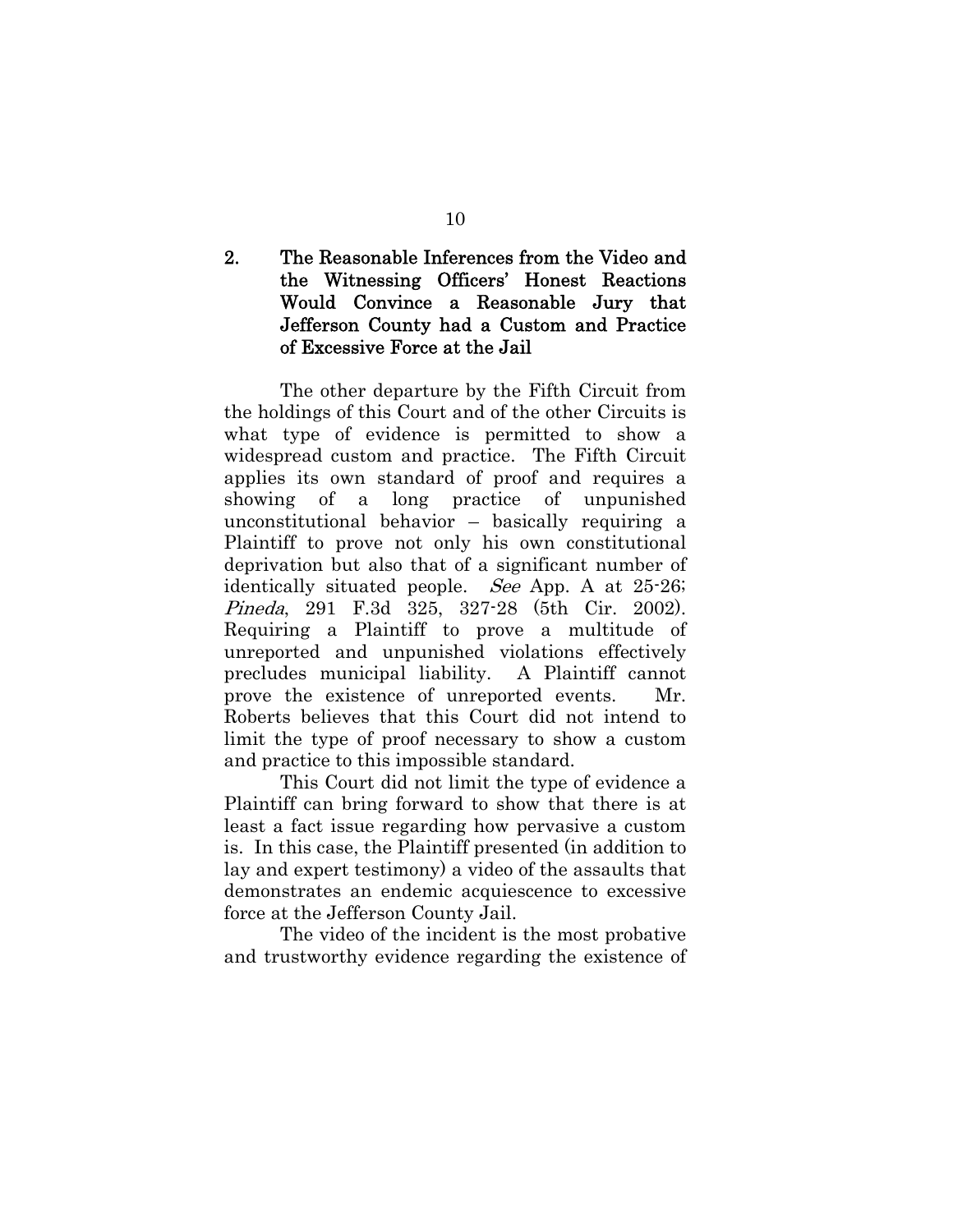## 2. The Reasonable Inferences from the Video and the Witnessing Officers' Honest Reactions Would Convince a Reasonable Jury that Jefferson County had a Custom and Practice of Excessive Force at the Jail

The other departure by the Fifth Circuit from the holdings of this Court and of the other Circuits is what type of evidence is permitted to show a widespread custom and practice. The Fifth Circuit applies its own standard of proof and requires a showing of a long practice of unpunished unconstitutional behavior – basically requiring a Plaintiff to prove not only his own constitutional deprivation but also that of a significant number of identically situated people. See App. A at 25-26; Pineda, 291 F.3d 325, 327-28 (5th Cir. 2002). Requiring a Plaintiff to prove a multitude of unreported and unpunished violations effectively precludes municipal liability. A Plaintiff cannot prove the existence of unreported events. Mr. Roberts believes that this Court did not intend to limit the type of proof necessary to show a custom and practice to this impossible standard.

This Court did not limit the type of evidence a Plaintiff can bring forward to show that there is at least a fact issue regarding how pervasive a custom is. In this case, the Plaintiff presented (in addition to lay and expert testimony) a video of the assaults that demonstrates an endemic acquiescence to excessive force at the Jefferson County Jail.

The video of the incident is the most probative and trustworthy evidence regarding the existence of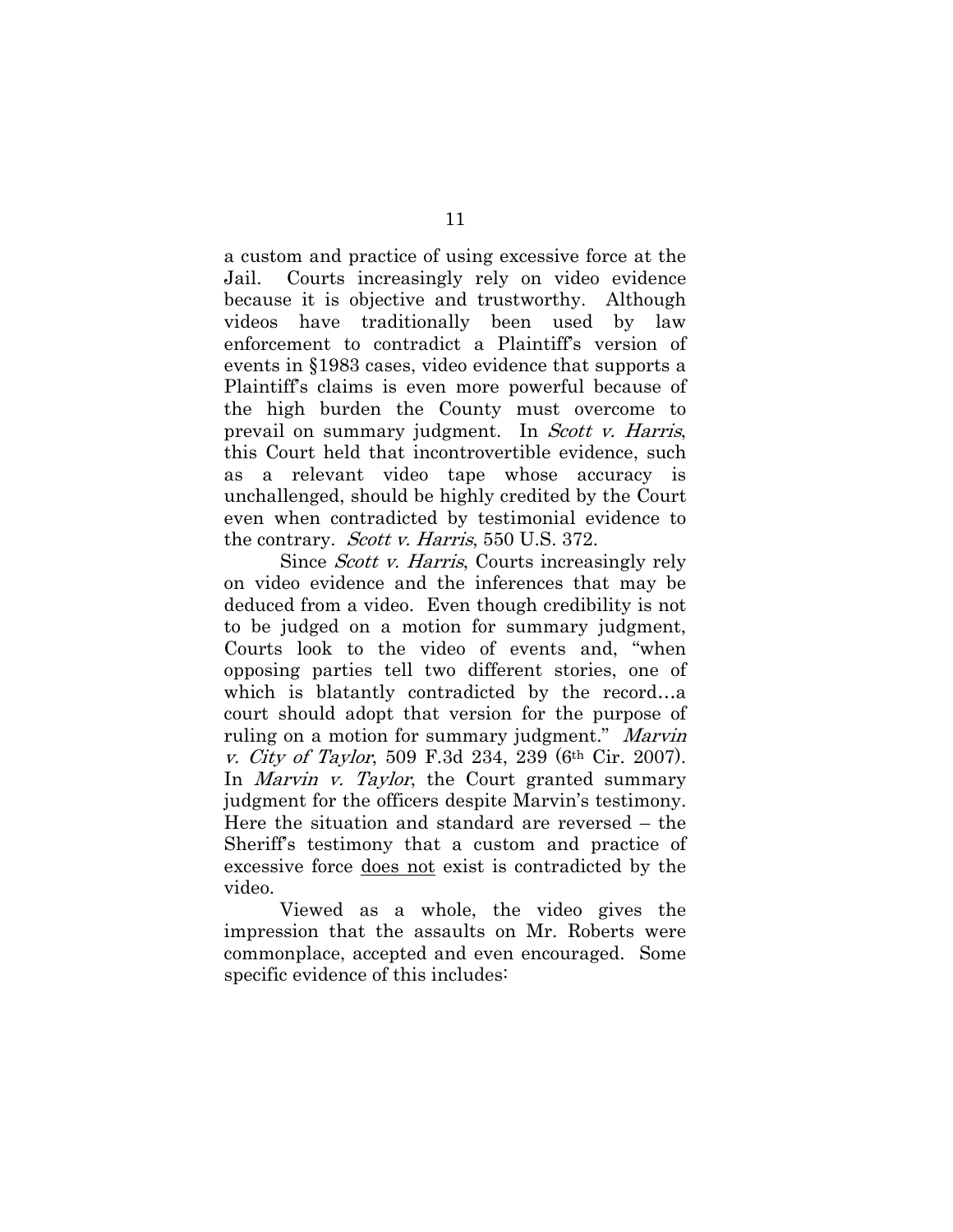a custom and practice of using excessive force at the Jail. Courts increasingly rely on video evidence because it is objective and trustworthy. Although videos have traditionally been used by law enforcement to contradict a Plaintiff's version of events in §1983 cases, video evidence that supports a Plaintiff's claims is even more powerful because of the high burden the County must overcome to prevail on summary judgment. In Scott v. Harris, this Court held that incontrovertible evidence, such as a relevant video tape whose accuracy is unchallenged, should be highly credited by the Court even when contradicted by testimonial evidence to the contrary. *Scott v. Harris*, 550 U.S. 372.

Since *Scott v. Harris*, Courts increasingly rely on video evidence and the inferences that may be deduced from a video. Even though credibility is not to be judged on a motion for summary judgment, Courts look to the video of events and, "when opposing parties tell two different stories, one of which is blatantly contradicted by the record…a court should adopt that version for the purpose of ruling on a motion for summary judgment." Marvin v. City of Taylor, 509 F.3d 234, 239 (6th Cir. 2007). In *Marvin v. Taylor*, the Court granted summary judgment for the officers despite Marvin's testimony. Here the situation and standard are reversed – the Sheriff's testimony that a custom and practice of excessive force does not exist is contradicted by the video.

Viewed as a whole, the video gives the impression that the assaults on Mr. Roberts were commonplace, accepted and even encouraged. Some specific evidence of this includes: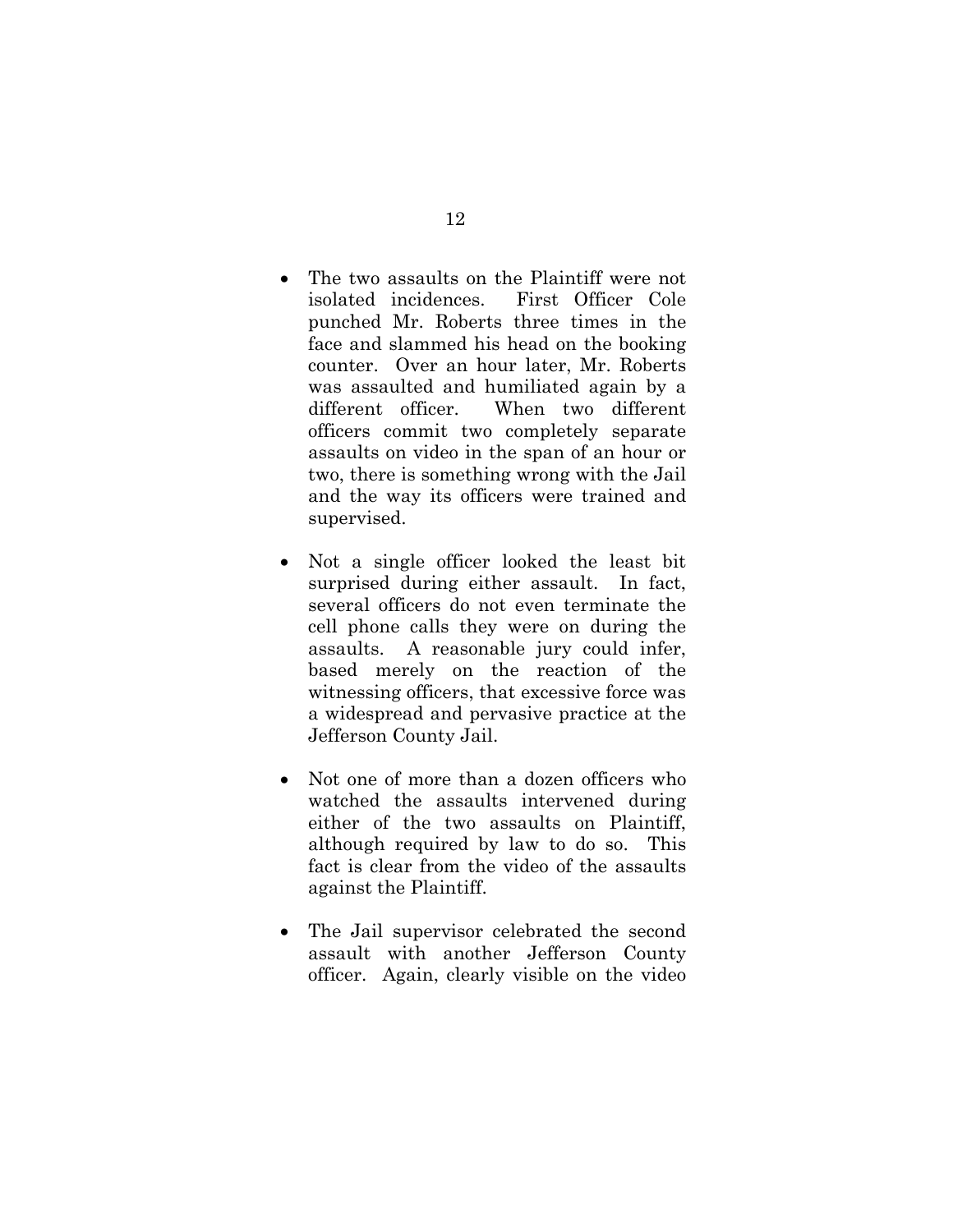- The two assaults on the Plaintiff were not isolated incidences. First Officer Cole punched Mr. Roberts three times in the face and slammed his head on the booking counter. Over an hour later, Mr. Roberts was assaulted and humiliated again by a different officer. When two different officers commit two completely separate assaults on video in the span of an hour or two, there is something wrong with the Jail and the way its officers were trained and supervised.
- Not a single officer looked the least bit surprised during either assault. In fact, several officers do not even terminate the cell phone calls they were on during the assaults. A reasonable jury could infer, based merely on the reaction of the witnessing officers, that excessive force was a widespread and pervasive practice at the Jefferson County Jail.
- Not one of more than a dozen officers who watched the assaults intervened during either of the two assaults on Plaintiff, although required by law to do so. This fact is clear from the video of the assaults against the Plaintiff.
- The Jail supervisor celebrated the second assault with another Jefferson County officer. Again, clearly visible on the video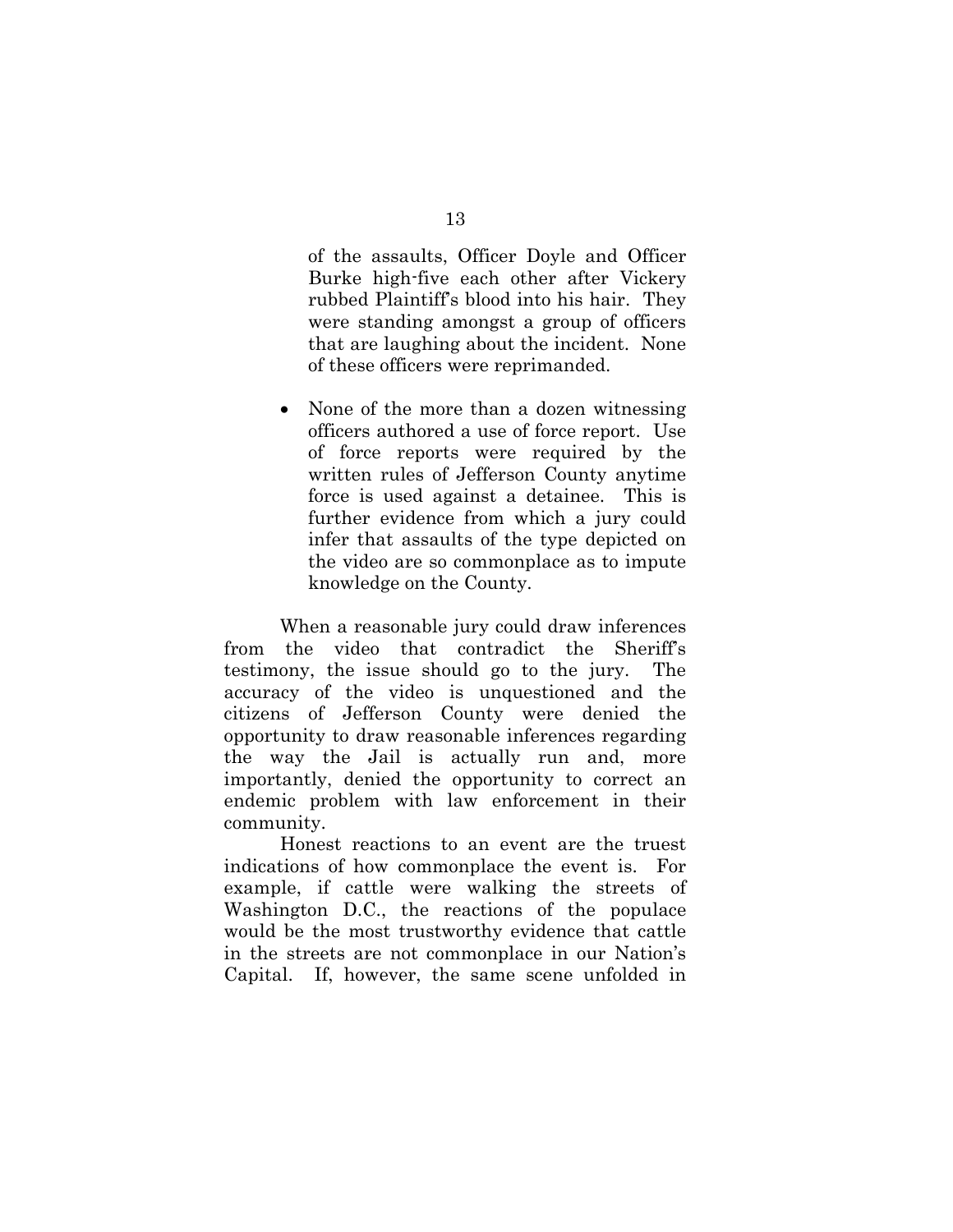of the assaults, Officer Doyle and Officer Burke high-five each other after Vickery rubbed Plaintiff's blood into his hair. They were standing amongst a group of officers that are laughing about the incident. None of these officers were reprimanded.

• None of the more than a dozen witnessing officers authored a use of force report. Use of force reports were required by the written rules of Jefferson County anytime force is used against a detainee. This is further evidence from which a jury could infer that assaults of the type depicted on the video are so commonplace as to impute knowledge on the County.

When a reasonable jury could draw inferences from the video that contradict the Sheriff's testimony, the issue should go to the jury. The accuracy of the video is unquestioned and the citizens of Jefferson County were denied the opportunity to draw reasonable inferences regarding the way the Jail is actually run and, more importantly, denied the opportunity to correct an endemic problem with law enforcement in their community.

Honest reactions to an event are the truest indications of how commonplace the event is. For example, if cattle were walking the streets of Washington D.C., the reactions of the populace would be the most trustworthy evidence that cattle in the streets are not commonplace in our Nation's Capital. If, however, the same scene unfolded in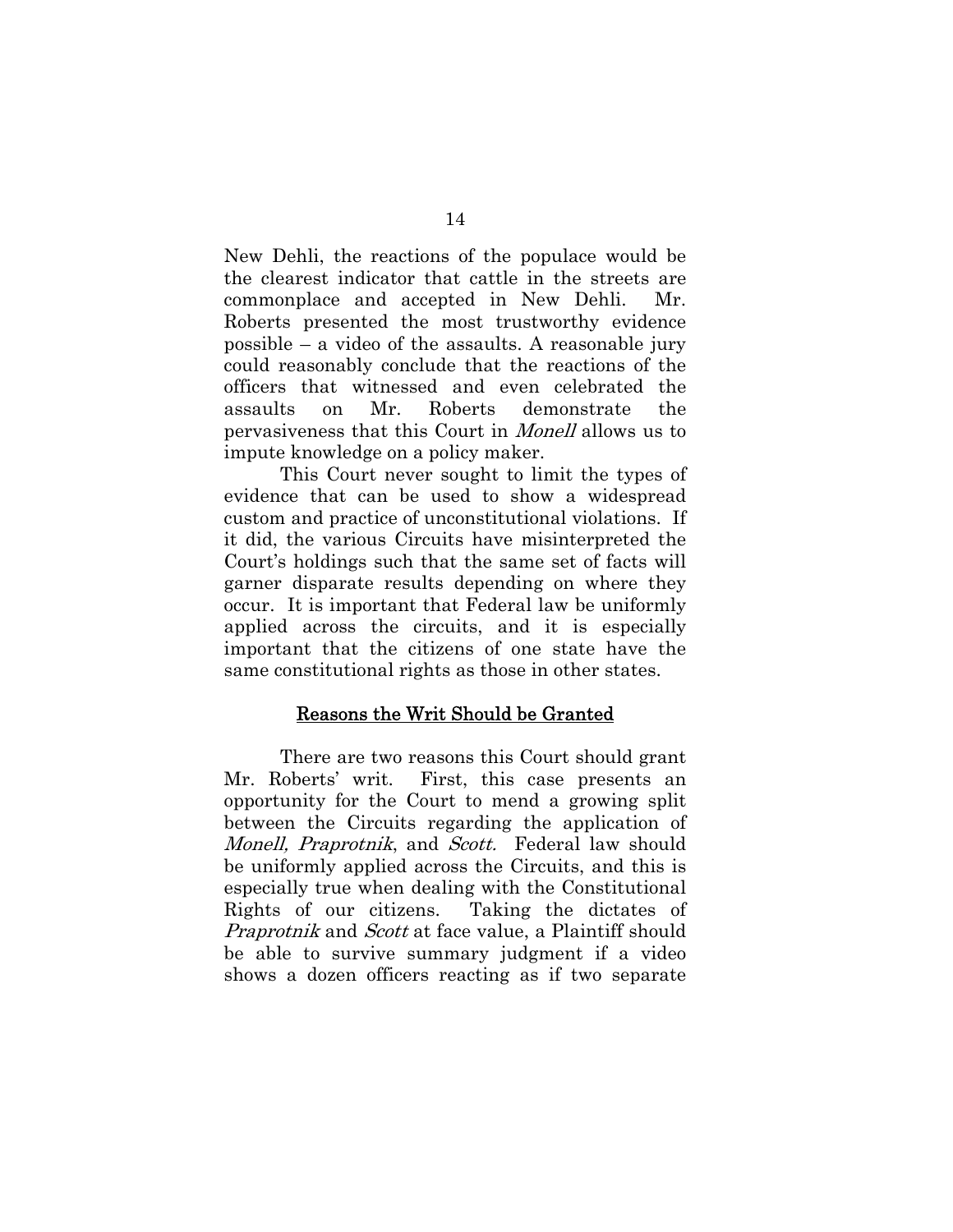New Dehli, the reactions of the populace would be the clearest indicator that cattle in the streets are commonplace and accepted in New Dehli. Mr. Roberts presented the most trustworthy evidence possible – a video of the assaults. A reasonable jury could reasonably conclude that the reactions of the officers that witnessed and even celebrated the assaults on Mr. Roberts demonstrate the pervasiveness that this Court in Monell allows us to impute knowledge on a policy maker.

This Court never sought to limit the types of evidence that can be used to show a widespread custom and practice of unconstitutional violations. If it did, the various Circuits have misinterpreted the Court's holdings such that the same set of facts will garner disparate results depending on where they occur. It is important that Federal law be uniformly applied across the circuits, and it is especially important that the citizens of one state have the same constitutional rights as those in other states.

#### Reasons the Writ Should be Granted

 There are two reasons this Court should grant Mr. Roberts' writ. First, this case presents an opportunity for the Court to mend a growing split between the Circuits regarding the application of Monell, Praprotnik, and Scott. Federal law should be uniformly applied across the Circuits, and this is especially true when dealing with the Constitutional Rights of our citizens. Taking the dictates of Praprotnik and Scott at face value, a Plaintiff should be able to survive summary judgment if a video shows a dozen officers reacting as if two separate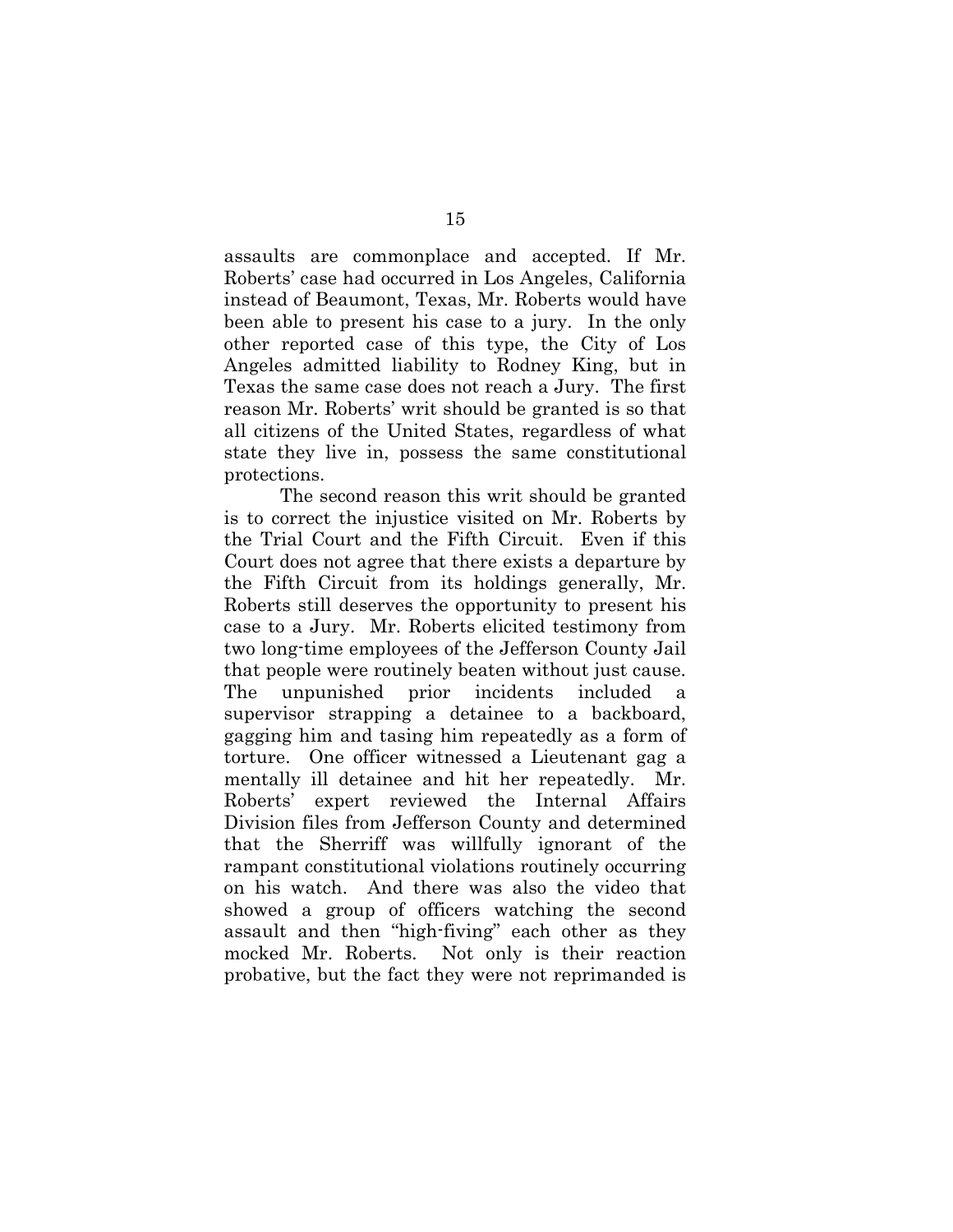assaults are commonplace and accepted. If Mr. Roberts' case had occurred in Los Angeles, California instead of Beaumont, Texas, Mr. Roberts would have been able to present his case to a jury. In the only other reported case of this type, the City of Los Angeles admitted liability to Rodney King, but in Texas the same case does not reach a Jury. The first reason Mr. Roberts' writ should be granted is so that all citizens of the United States, regardless of what state they live in, possess the same constitutional protections.

 The second reason this writ should be granted is to correct the injustice visited on Mr. Roberts by the Trial Court and the Fifth Circuit. Even if this Court does not agree that there exists a departure by the Fifth Circuit from its holdings generally, Mr. Roberts still deserves the opportunity to present his case to a Jury. Mr. Roberts elicited testimony from two long-time employees of the Jefferson County Jail that people were routinely beaten without just cause. The unpunished prior incidents included a supervisor strapping a detainee to a backboard, gagging him and tasing him repeatedly as a form of torture. One officer witnessed a Lieutenant gag a mentally ill detainee and hit her repeatedly. Mr. Roberts' expert reviewed the Internal Affairs Division files from Jefferson County and determined that the Sherriff was willfully ignorant of the rampant constitutional violations routinely occurring on his watch. And there was also the video that showed a group of officers watching the second assault and then "high-fiving" each other as they mocked Mr. Roberts. Not only is their reaction probative, but the fact they were not reprimanded is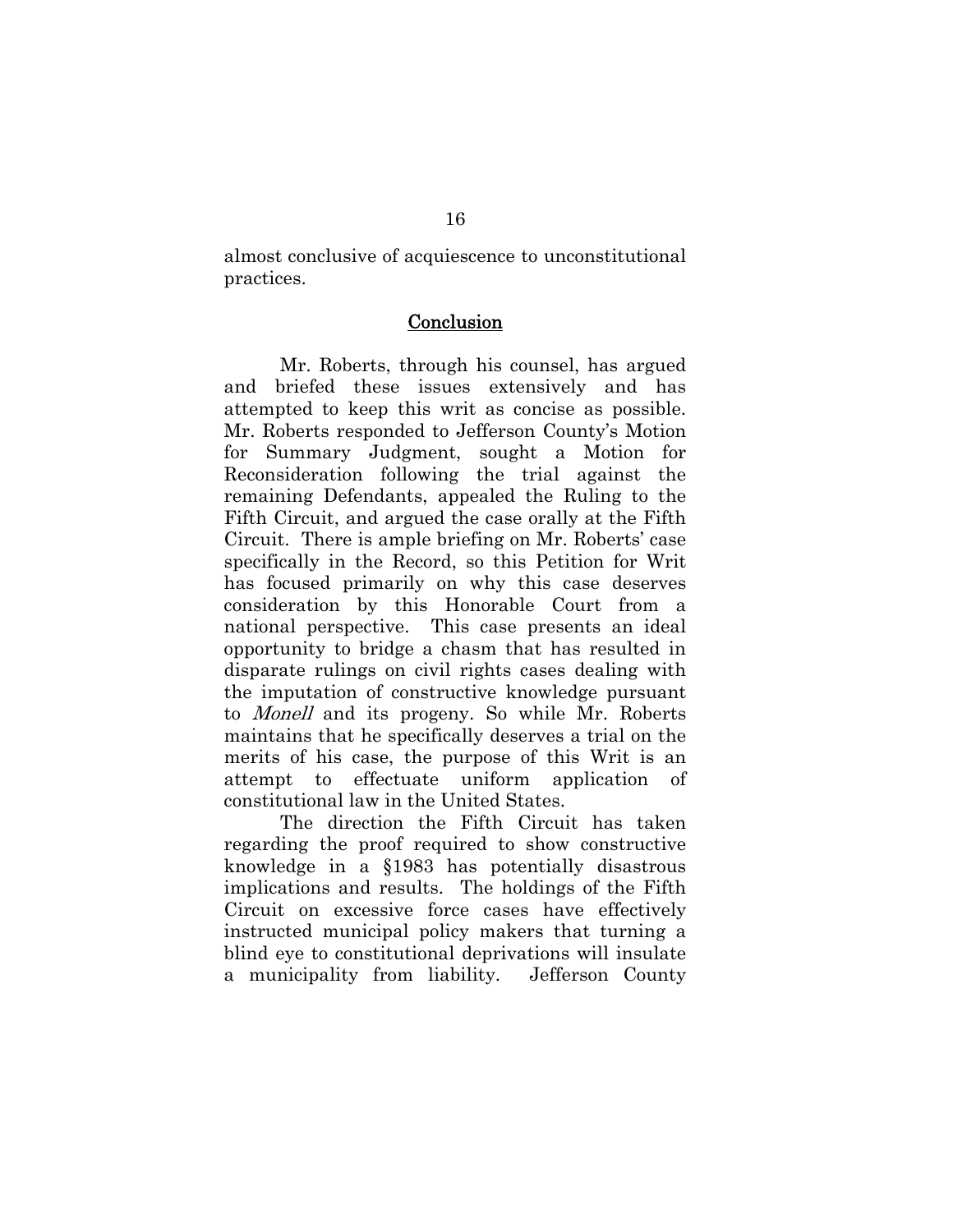almost conclusive of acquiescence to unconstitutional practices.

#### **Conclusion**

 Mr. Roberts, through his counsel, has argued and briefed these issues extensively and has attempted to keep this writ as concise as possible. Mr. Roberts responded to Jefferson County's Motion for Summary Judgment, sought a Motion for Reconsideration following the trial against the remaining Defendants, appealed the Ruling to the Fifth Circuit, and argued the case orally at the Fifth Circuit. There is ample briefing on Mr. Roberts' case specifically in the Record, so this Petition for Writ has focused primarily on why this case deserves consideration by this Honorable Court from a national perspective. This case presents an ideal opportunity to bridge a chasm that has resulted in disparate rulings on civil rights cases dealing with the imputation of constructive knowledge pursuant to Monell and its progeny. So while Mr. Roberts maintains that he specifically deserves a trial on the merits of his case, the purpose of this Writ is an attempt to effectuate uniform application of constitutional law in the United States.

 The direction the Fifth Circuit has taken regarding the proof required to show constructive knowledge in a §1983 has potentially disastrous implications and results. The holdings of the Fifth Circuit on excessive force cases have effectively instructed municipal policy makers that turning a blind eye to constitutional deprivations will insulate a municipality from liability. Jefferson County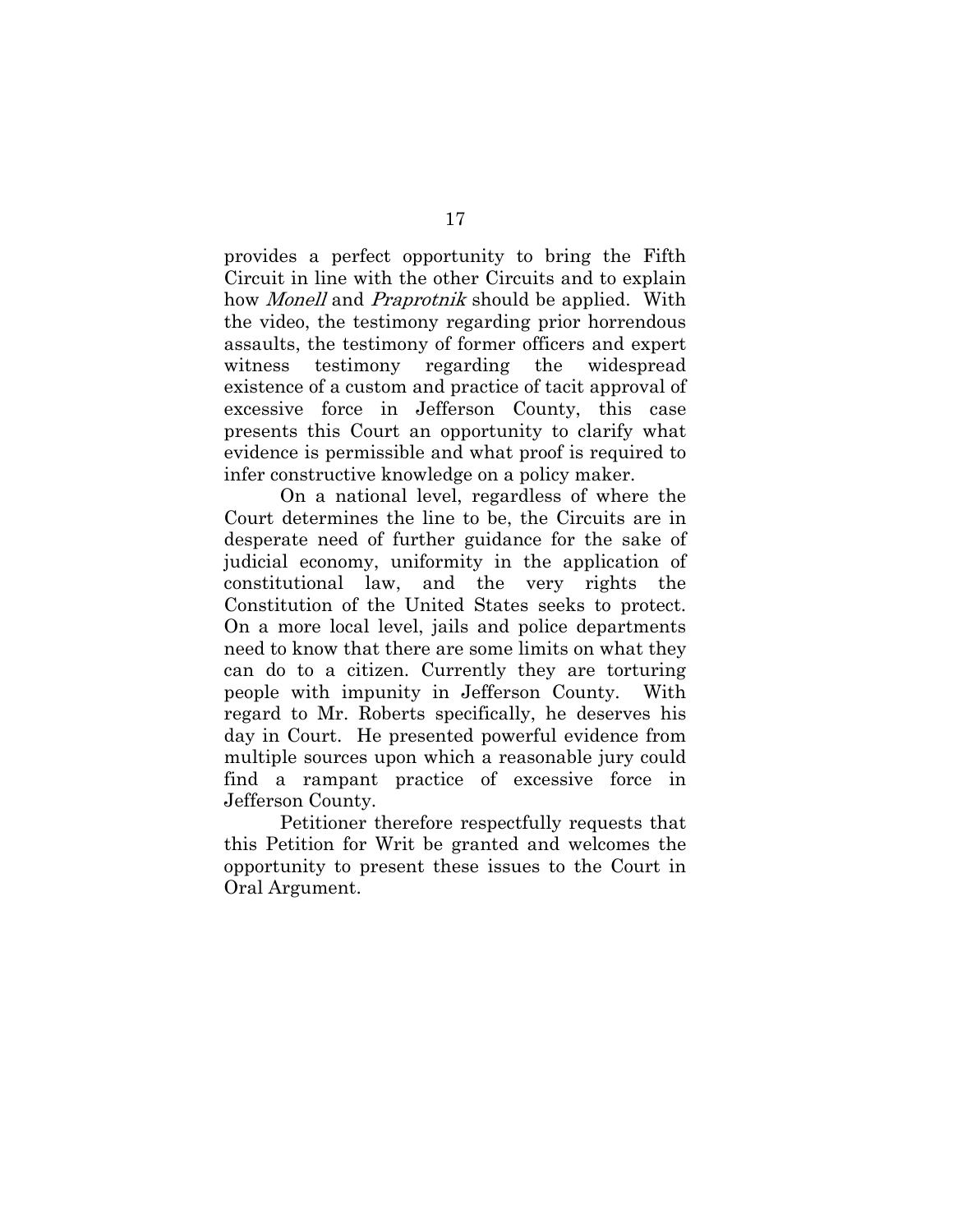provides a perfect opportunity to bring the Fifth Circuit in line with the other Circuits and to explain how *Monell* and *Praprotnik* should be applied. With the video, the testimony regarding prior horrendous assaults, the testimony of former officers and expert witness testimony regarding the widespread existence of a custom and practice of tacit approval of excessive force in Jefferson County, this case presents this Court an opportunity to clarify what evidence is permissible and what proof is required to infer constructive knowledge on a policy maker.

On a national level, regardless of where the Court determines the line to be, the Circuits are in desperate need of further guidance for the sake of judicial economy, uniformity in the application of constitutional law, and the very rights the Constitution of the United States seeks to protect. On a more local level, jails and police departments need to know that there are some limits on what they can do to a citizen. Currently they are torturing people with impunity in Jefferson County. With regard to Mr. Roberts specifically, he deserves his day in Court. He presented powerful evidence from multiple sources upon which a reasonable jury could find a rampant practice of excessive force in Jefferson County.

Petitioner therefore respectfully requests that this Petition for Writ be granted and welcomes the opportunity to present these issues to the Court in Oral Argument.